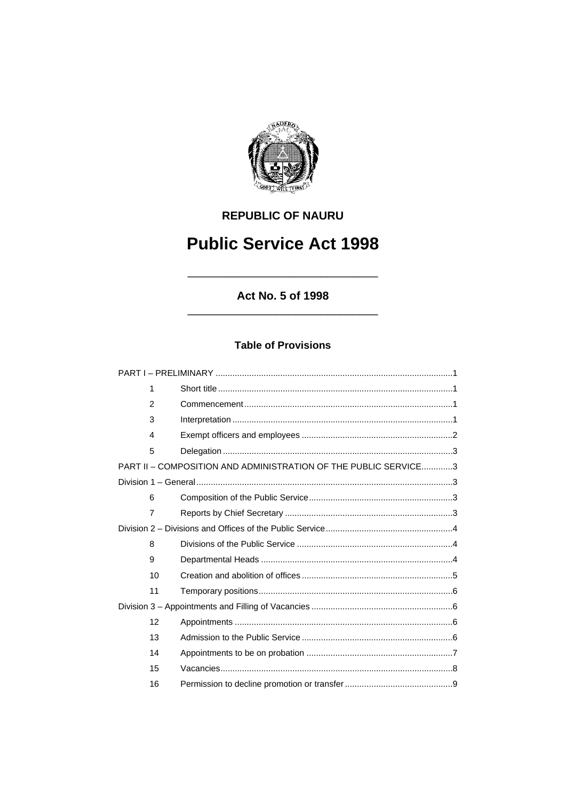

# **REPUBLIC OF NAURU**

# **Public Service Act 1998**

# Act No. 5 of 1998

# **Table of Provisions**

| 1                       |                                                                 |  |
|-------------------------|-----------------------------------------------------------------|--|
| $\overline{2}$          |                                                                 |  |
| 3                       |                                                                 |  |
| $\overline{\mathbf{4}}$ |                                                                 |  |
| 5                       |                                                                 |  |
|                         | PART II - COMPOSITION AND ADMINISTRATION OF THE PUBLIC SERVICE3 |  |
|                         |                                                                 |  |
| 6                       |                                                                 |  |
| $\overline{7}$          |                                                                 |  |
|                         |                                                                 |  |
| 8                       |                                                                 |  |
| 9                       |                                                                 |  |
| 10                      |                                                                 |  |
| 11                      |                                                                 |  |
|                         |                                                                 |  |
| 12                      |                                                                 |  |
| 13                      |                                                                 |  |
| 14                      |                                                                 |  |
| 15                      |                                                                 |  |
| 16                      |                                                                 |  |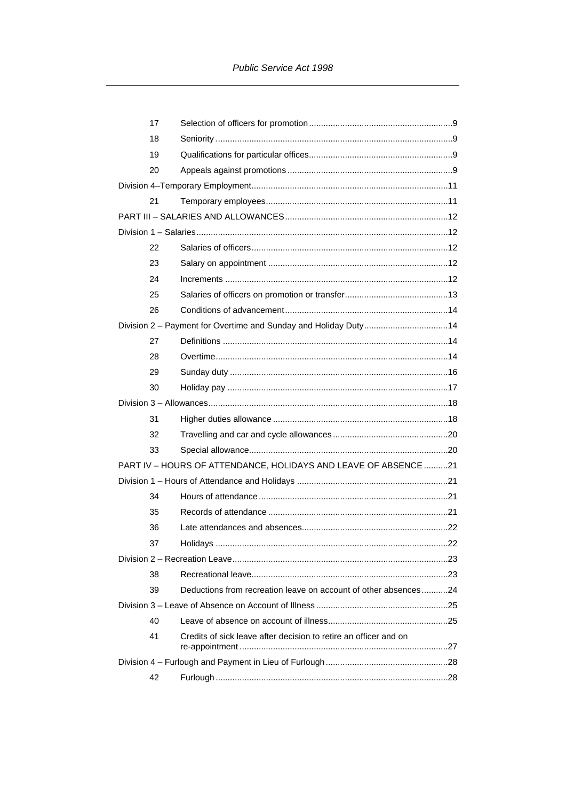|                                                                 | 17 |                                                                  |  |
|-----------------------------------------------------------------|----|------------------------------------------------------------------|--|
|                                                                 | 18 |                                                                  |  |
|                                                                 | 19 |                                                                  |  |
|                                                                 | 20 |                                                                  |  |
|                                                                 |    |                                                                  |  |
|                                                                 | 21 |                                                                  |  |
|                                                                 |    |                                                                  |  |
|                                                                 |    |                                                                  |  |
|                                                                 | 22 |                                                                  |  |
|                                                                 | 23 |                                                                  |  |
|                                                                 | 24 |                                                                  |  |
|                                                                 | 25 |                                                                  |  |
|                                                                 | 26 |                                                                  |  |
|                                                                 |    | Division 2 - Payment for Overtime and Sunday and Holiday Duty14  |  |
|                                                                 | 27 |                                                                  |  |
|                                                                 | 28 |                                                                  |  |
|                                                                 | 29 |                                                                  |  |
|                                                                 | 30 |                                                                  |  |
|                                                                 |    |                                                                  |  |
|                                                                 | 31 |                                                                  |  |
|                                                                 | 32 |                                                                  |  |
|                                                                 | 33 |                                                                  |  |
| PART IV - HOURS OF ATTENDANCE, HOLIDAYS AND LEAVE OF ABSENCE 21 |    |                                                                  |  |
|                                                                 |    |                                                                  |  |
|                                                                 | 34 |                                                                  |  |
|                                                                 | 35 |                                                                  |  |
|                                                                 | 36 |                                                                  |  |
|                                                                 | 37 |                                                                  |  |
|                                                                 |    |                                                                  |  |
|                                                                 | 38 |                                                                  |  |
|                                                                 | 39 | Deductions from recreation leave on account of other absences24  |  |
|                                                                 |    |                                                                  |  |
|                                                                 | 40 |                                                                  |  |
|                                                                 | 41 | Credits of sick leave after decision to retire an officer and on |  |
|                                                                 |    |                                                                  |  |
|                                                                 | 42 |                                                                  |  |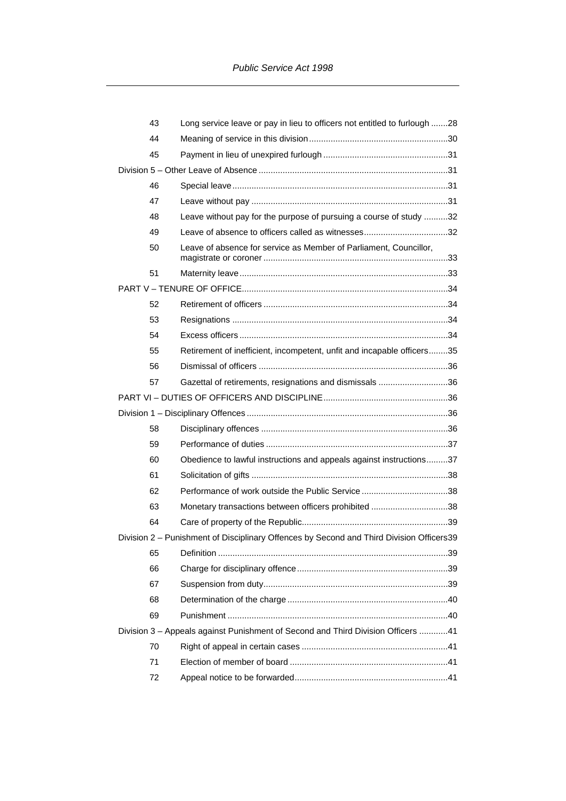|  | 43 | Long service leave or pay in lieu to officers not entitled to furlough 28                |  |
|--|----|------------------------------------------------------------------------------------------|--|
|  | 44 |                                                                                          |  |
|  | 45 |                                                                                          |  |
|  |    |                                                                                          |  |
|  | 46 |                                                                                          |  |
|  | 47 |                                                                                          |  |
|  | 48 | Leave without pay for the purpose of pursuing a course of study 32                       |  |
|  | 49 |                                                                                          |  |
|  | 50 | Leave of absence for service as Member of Parliament, Councillor,                        |  |
|  | 51 |                                                                                          |  |
|  |    |                                                                                          |  |
|  | 52 |                                                                                          |  |
|  | 53 |                                                                                          |  |
|  | 54 |                                                                                          |  |
|  | 55 | Retirement of inefficient, incompetent, unfit and incapable officers35                   |  |
|  | 56 |                                                                                          |  |
|  | 57 | Gazettal of retirements, resignations and dismissals 36                                  |  |
|  |    |                                                                                          |  |
|  |    |                                                                                          |  |
|  | 58 |                                                                                          |  |
|  | 59 |                                                                                          |  |
|  | 60 | Obedience to lawful instructions and appeals against instructions37                      |  |
|  | 61 |                                                                                          |  |
|  | 62 |                                                                                          |  |
|  | 63 | Monetary transactions between officers prohibited 38                                     |  |
|  | 64 |                                                                                          |  |
|  |    | Division 2 - Punishment of Disciplinary Offences by Second and Third Division Officers39 |  |
|  | 65 |                                                                                          |  |
|  | 66 |                                                                                          |  |
|  | 67 |                                                                                          |  |
|  | 68 |                                                                                          |  |
|  | 69 |                                                                                          |  |
|  |    | Division 3 - Appeals against Punishment of Second and Third Division Officers 41         |  |
|  | 70 |                                                                                          |  |
|  | 71 |                                                                                          |  |
|  | 72 |                                                                                          |  |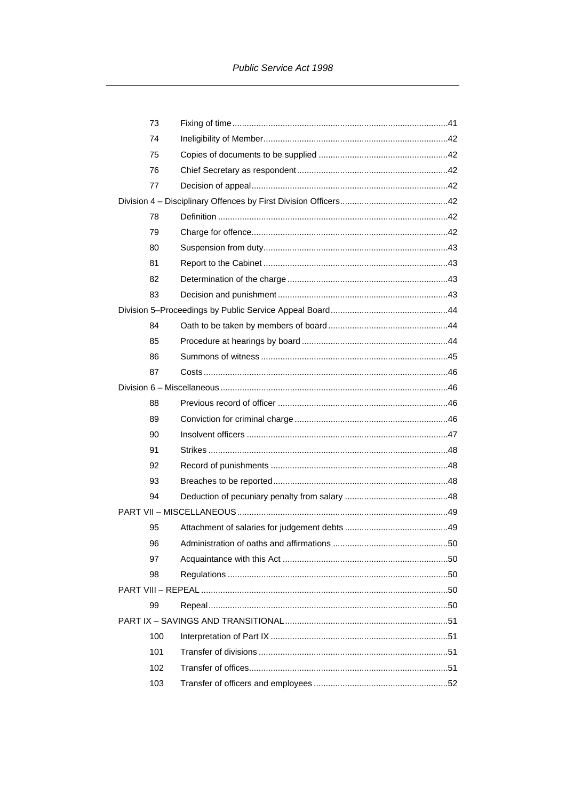| 73  |                                           |     |
|-----|-------------------------------------------|-----|
| 74  |                                           |     |
| 75  |                                           |     |
| 76  |                                           |     |
| 77  |                                           |     |
|     |                                           |     |
| 78  |                                           |     |
| 79  |                                           |     |
| 80  |                                           |     |
| 81  |                                           |     |
| 82  |                                           |     |
| 83  |                                           |     |
|     |                                           |     |
| 84  |                                           |     |
| 85  |                                           |     |
| 86  |                                           |     |
| 87  |                                           |     |
|     |                                           |     |
| 88  |                                           |     |
| 89  |                                           |     |
| 90  |                                           |     |
| 91  |                                           |     |
| 92  |                                           |     |
| 93  |                                           |     |
| 94  |                                           |     |
|     |                                           |     |
| 95  |                                           |     |
| 96  | Administration of oaths and affirmations. | .50 |
| 97  |                                           |     |
| 98  |                                           |     |
|     |                                           |     |
| 99  |                                           |     |
|     |                                           |     |
| 100 |                                           |     |
| 101 |                                           |     |
| 102 |                                           |     |
| 103 |                                           |     |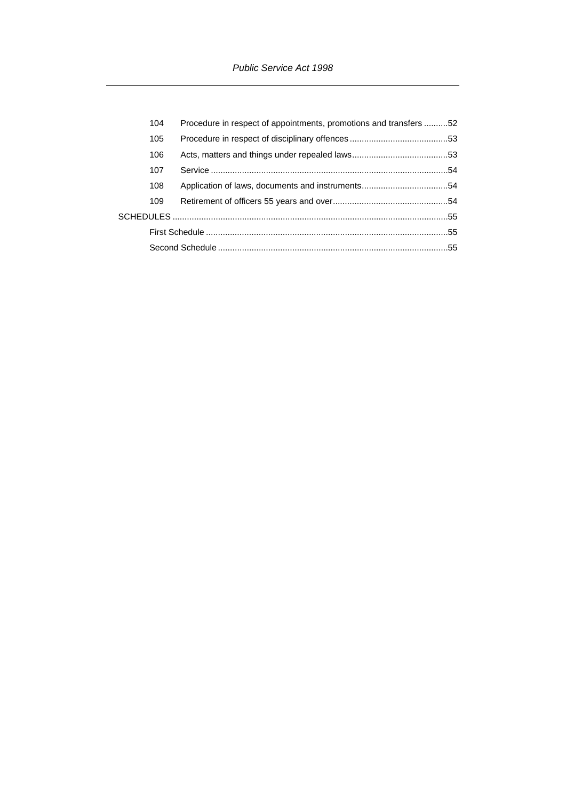|  | 104 | Procedure in respect of appointments, promotions and transfers 52 |  |
|--|-----|-------------------------------------------------------------------|--|
|  | 105 |                                                                   |  |
|  | 106 |                                                                   |  |
|  | 107 |                                                                   |  |
|  | 108 |                                                                   |  |
|  | 109 |                                                                   |  |
|  |     |                                                                   |  |
|  |     |                                                                   |  |
|  |     |                                                                   |  |
|  |     |                                                                   |  |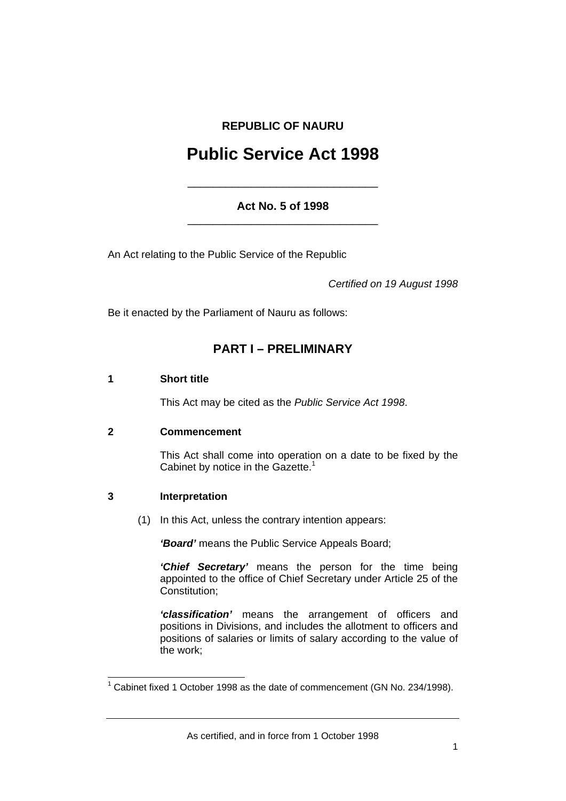# **REPUBLIC OF NAURU**

# **Public Service Act 1998**

# **Act No. 5 of 1998**  \_\_\_\_\_\_\_\_\_\_\_\_\_\_\_\_\_\_\_\_\_\_\_\_\_\_\_\_\_\_

\_\_\_\_\_\_\_\_\_\_\_\_\_\_\_\_\_\_\_\_\_\_\_\_\_\_\_\_\_\_

An Act relating to the Public Service of the Republic

*Certified on 19 August 1998* 

Be it enacted by the Parliament of Nauru as follows:

# **PART I – PRELIMINARY**

## **1 Short title**

This Act may be cited as the *Public Service Act 1998*.

# **2 Commencement**

This Act shall come into operation on a date to be fixed by the Cabinet by notice in the Gazette.<sup>1</sup>

# **3 Interpretation**

(1) In this Act, unless the contrary intention appears:

*'Board'* means the Public Service Appeals Board;

*'Chief Secretary'* means the person for the time being appointed to the office of Chief Secretary under Article 25 of the Constitution;

*'classification'* means the arrangement of officers and positions in Divisions, and includes the allotment to officers and positions of salaries or limits of salary according to the value of the work;

 1 Cabinet fixed 1 October 1998 as the date of commencement (GN No. 234/1998).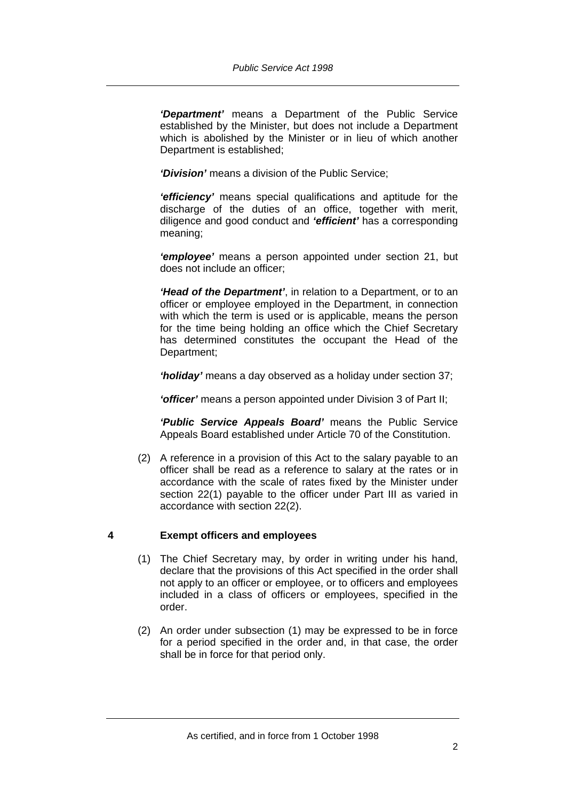*'Department'* means a Department of the Public Service established by the Minister, but does not include a Department which is abolished by the Minister or in lieu of which another Department is established;

*'Division'* means a division of the Public Service;

*'efficiency'* means special qualifications and aptitude for the discharge of the duties of an office, together with merit, diligence and good conduct and *'efficient'* has a corresponding meaning;

*'employee'* means a person appointed under section 21, but does not include an officer;

*'Head of the Department'*, in relation to a Department, or to an officer or employee employed in the Department, in connection with which the term is used or is applicable, means the person for the time being holding an office which the Chief Secretary has determined constitutes the occupant the Head of the Department;

*'holiday'* means a day observed as a holiday under section 37;

*'officer'* means a person appointed under Division 3 of Part II;

*'Public Service Appeals Board'* means the Public Service Appeals Board established under Article 70 of the Constitution.

 (2) A reference in a provision of this Act to the salary payable to an officer shall be read as a reference to salary at the rates or in accordance with the scale of rates fixed by the Minister under section 22(1) payable to the officer under Part III as varied in accordance with section 22(2).

# **4 Exempt officers and employees**

- (1) The Chief Secretary may, by order in writing under his hand, declare that the provisions of this Act specified in the order shall not apply to an officer or employee, or to officers and employees included in a class of officers or employees, specified in the order.
- (2) An order under subsection (1) may be expressed to be in force for a period specified in the order and, in that case, the order shall be in force for that period only.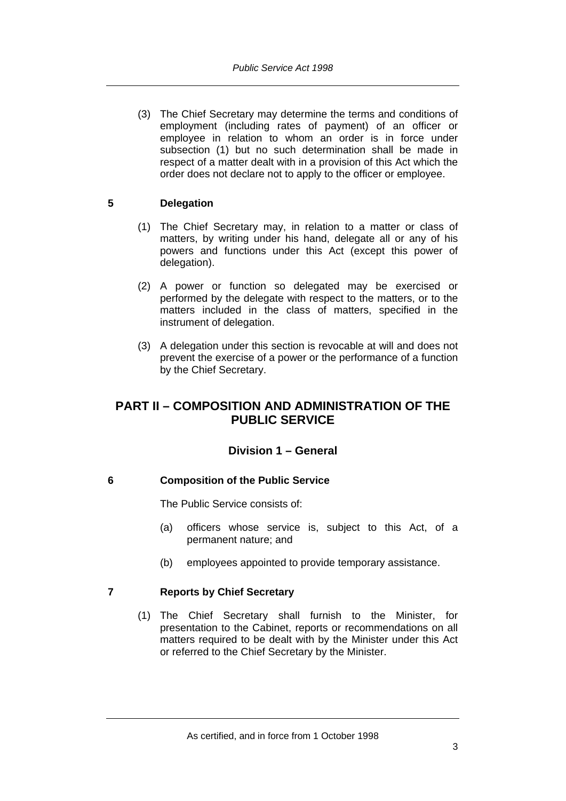(3) The Chief Secretary may determine the terms and conditions of employment (including rates of payment) of an officer or employee in relation to whom an order is in force under subsection (1) but no such determination shall be made in respect of a matter dealt with in a provision of this Act which the order does not declare not to apply to the officer or employee.

# **5 Delegation**

- (1) The Chief Secretary may, in relation to a matter or class of matters, by writing under his hand, delegate all or any of his powers and functions under this Act (except this power of delegation).
- (2) A power or function so delegated may be exercised or performed by the delegate with respect to the matters, or to the matters included in the class of matters, specified in the instrument of delegation.
- (3) A delegation under this section is revocable at will and does not prevent the exercise of a power or the performance of a function by the Chief Secretary.

# **PART II – COMPOSITION AND ADMINISTRATION OF THE PUBLIC SERVICE**

# **Division 1 – General**

# **6 Composition of the Public Service**

The Public Service consists of:

- (a) officers whose service is, subject to this Act, of a permanent nature; and
- (b) employees appointed to provide temporary assistance.

# **7 Reports by Chief Secretary**

 (1) The Chief Secretary shall furnish to the Minister, for presentation to the Cabinet, reports or recommendations on all matters required to be dealt with by the Minister under this Act or referred to the Chief Secretary by the Minister.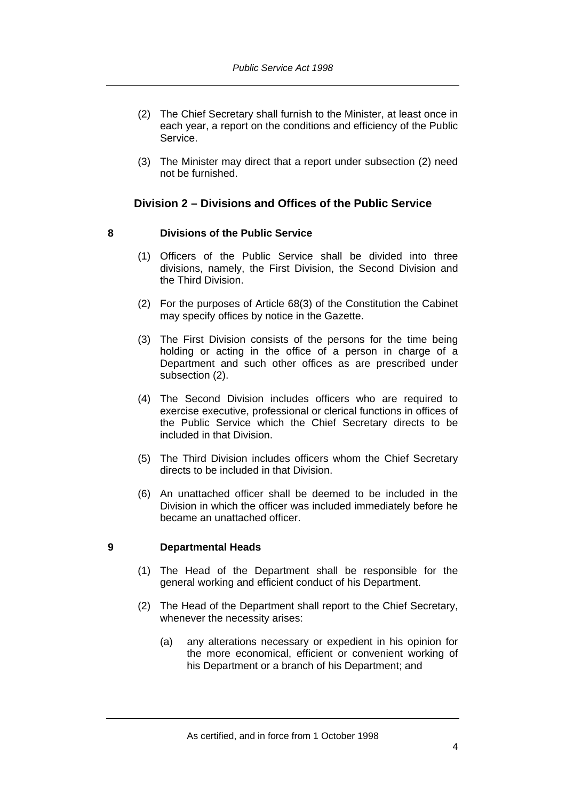- (2) The Chief Secretary shall furnish to the Minister, at least once in each year, a report on the conditions and efficiency of the Public Service.
- (3) The Minister may direct that a report under subsection (2) need not be furnished.

# **Division 2 – Divisions and Offices of the Public Service**

# **8 Divisions of the Public Service**

- (1) Officers of the Public Service shall be divided into three divisions, namely, the First Division, the Second Division and the Third Division.
- (2) For the purposes of Article 68(3) of the Constitution the Cabinet may specify offices by notice in the Gazette.
- (3) The First Division consists of the persons for the time being holding or acting in the office of a person in charge of a Department and such other offices as are prescribed under subsection (2).
- (4) The Second Division includes officers who are required to exercise executive, professional or clerical functions in offices of the Public Service which the Chief Secretary directs to be included in that Division.
- (5) The Third Division includes officers whom the Chief Secretary directs to be included in that Division.
- (6) An unattached officer shall be deemed to be included in the Division in which the officer was included immediately before he became an unattached officer.

#### **9 Departmental Heads**

- (1) The Head of the Department shall be responsible for the general working and efficient conduct of his Department.
- (2) The Head of the Department shall report to the Chief Secretary, whenever the necessity arises:
	- (a) any alterations necessary or expedient in his opinion for the more economical, efficient or convenient working of his Department or a branch of his Department; and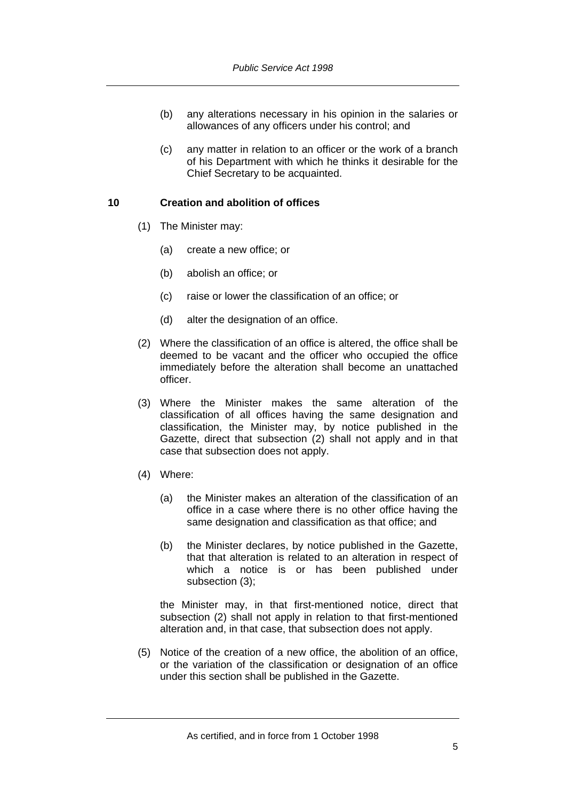- (b) any alterations necessary in his opinion in the salaries or allowances of any officers under his control; and
- (c) any matter in relation to an officer or the work of a branch of his Department with which he thinks it desirable for the Chief Secretary to be acquainted.

## **10 Creation and abolition of offices**

- (1) The Minister may:
	- (a) create a new office; or
	- (b) abolish an office; or
	- (c) raise or lower the classification of an office; or
	- (d) alter the designation of an office.
- (2) Where the classification of an office is altered, the office shall be deemed to be vacant and the officer who occupied the office immediately before the alteration shall become an unattached officer.
- (3) Where the Minister makes the same alteration of the classification of all offices having the same designation and classification, the Minister may, by notice published in the Gazette, direct that subsection (2) shall not apply and in that case that subsection does not apply.
- (4) Where:
	- (a) the Minister makes an alteration of the classification of an office in a case where there is no other office having the same designation and classification as that office; and
	- (b) the Minister declares, by notice published in the Gazette, that that alteration is related to an alteration in respect of which a notice is or has been published under subsection (3);

the Minister may, in that first-mentioned notice, direct that subsection (2) shall not apply in relation to that first-mentioned alteration and, in that case, that subsection does not apply.

 (5) Notice of the creation of a new office, the abolition of an office, or the variation of the classification or designation of an office under this section shall be published in the Gazette.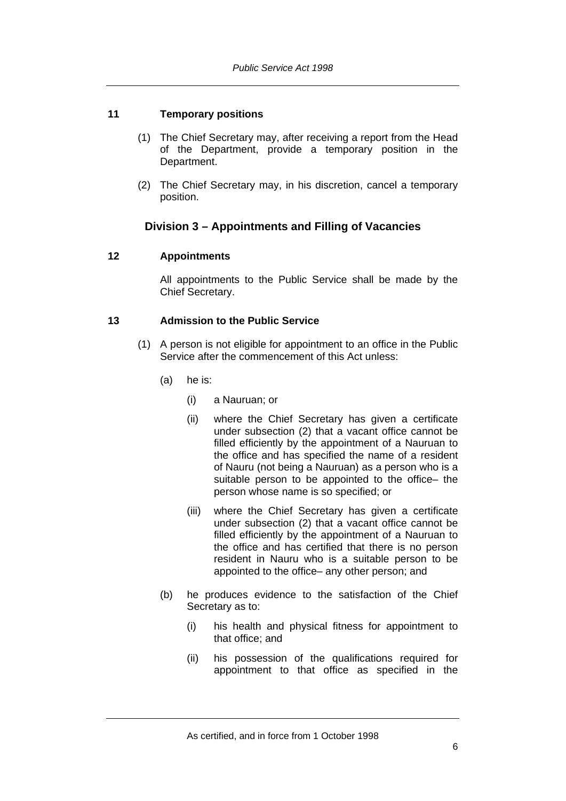# **11 Temporary positions**

- (1) The Chief Secretary may, after receiving a report from the Head of the Department, provide a temporary position in the Department.
- (2) The Chief Secretary may, in his discretion, cancel a temporary position.

# **Division 3 – Appointments and Filling of Vacancies**

# **12 Appointments**

All appointments to the Public Service shall be made by the Chief Secretary.

## **13 Admission to the Public Service**

- (1) A person is not eligible for appointment to an office in the Public Service after the commencement of this Act unless:
	- (a) he is:
		- (i) a Nauruan; or
		- (ii) where the Chief Secretary has given a certificate under subsection (2) that a vacant office cannot be filled efficiently by the appointment of a Nauruan to the office and has specified the name of a resident of Nauru (not being a Nauruan) as a person who is a suitable person to be appointed to the office– the person whose name is so specified; or
		- (iii) where the Chief Secretary has given a certificate under subsection (2) that a vacant office cannot be filled efficiently by the appointment of a Nauruan to the office and has certified that there is no person resident in Nauru who is a suitable person to be appointed to the office– any other person; and
	- (b) he produces evidence to the satisfaction of the Chief Secretary as to:
		- (i) his health and physical fitness for appointment to that office; and
		- (ii) his possession of the qualifications required for appointment to that office as specified in the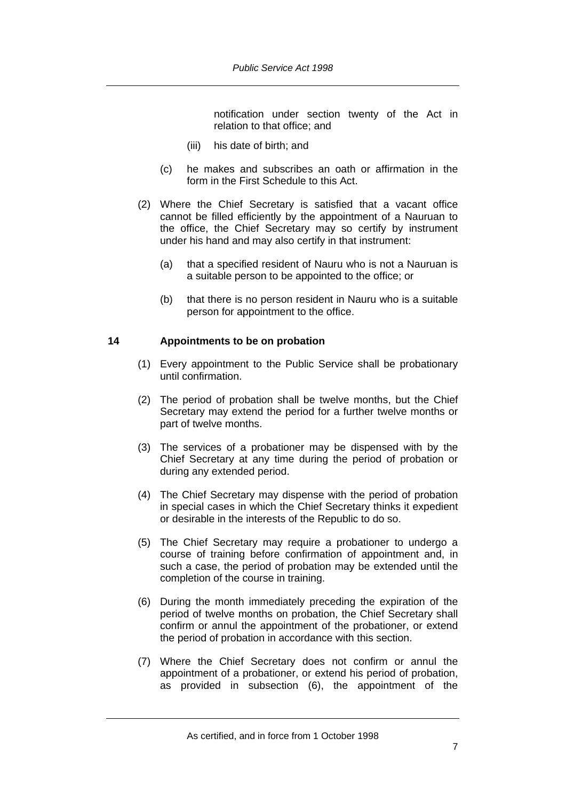notification under section twenty of the Act in relation to that office; and

- (iii) his date of birth; and
- (c) he makes and subscribes an oath or affirmation in the form in the First Schedule to this Act.
- (2) Where the Chief Secretary is satisfied that a vacant office cannot be filled efficiently by the appointment of a Nauruan to the office, the Chief Secretary may so certify by instrument under his hand and may also certify in that instrument:
	- (a) that a specified resident of Nauru who is not a Nauruan is a suitable person to be appointed to the office; or
	- (b) that there is no person resident in Nauru who is a suitable person for appointment to the office.

## **14 Appointments to be on probation**

- (1) Every appointment to the Public Service shall be probationary until confirmation.
- (2) The period of probation shall be twelve months, but the Chief Secretary may extend the period for a further twelve months or part of twelve months.
- (3) The services of a probationer may be dispensed with by the Chief Secretary at any time during the period of probation or during any extended period.
- (4) The Chief Secretary may dispense with the period of probation in special cases in which the Chief Secretary thinks it expedient or desirable in the interests of the Republic to do so.
- (5) The Chief Secretary may require a probationer to undergo a course of training before confirmation of appointment and, in such a case, the period of probation may be extended until the completion of the course in training.
- (6) During the month immediately preceding the expiration of the period of twelve months on probation, the Chief Secretary shall confirm or annul the appointment of the probationer, or extend the period of probation in accordance with this section.
- (7) Where the Chief Secretary does not confirm or annul the appointment of a probationer, or extend his period of probation, as provided in subsection (6), the appointment of the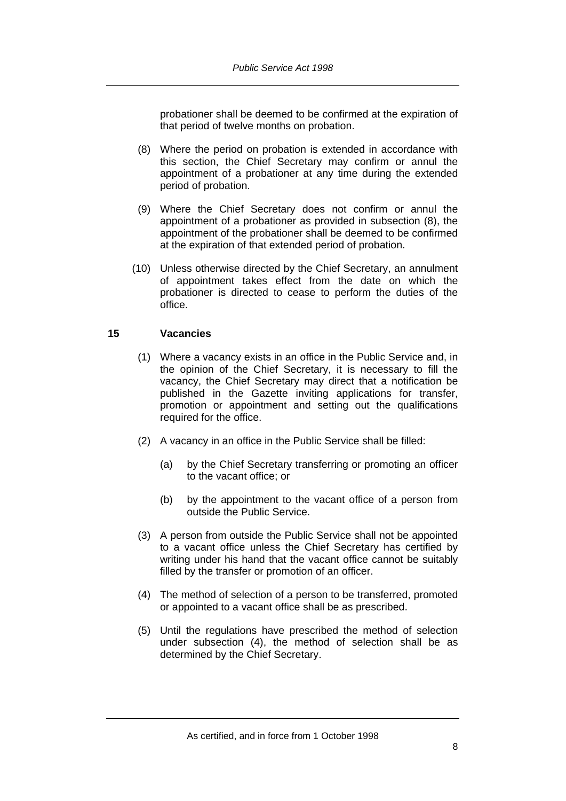probationer shall be deemed to be confirmed at the expiration of that period of twelve months on probation.

- (8) Where the period on probation is extended in accordance with this section, the Chief Secretary may confirm or annul the appointment of a probationer at any time during the extended period of probation.
- (9) Where the Chief Secretary does not confirm or annul the appointment of a probationer as provided in subsection (8), the appointment of the probationer shall be deemed to be confirmed at the expiration of that extended period of probation.
- (10) Unless otherwise directed by the Chief Secretary, an annulment of appointment takes effect from the date on which the probationer is directed to cease to perform the duties of the office.

# **15 Vacancies**

- (1) Where a vacancy exists in an office in the Public Service and, in the opinion of the Chief Secretary, it is necessary to fill the vacancy, the Chief Secretary may direct that a notification be published in the Gazette inviting applications for transfer, promotion or appointment and setting out the qualifications required for the office.
- (2) A vacancy in an office in the Public Service shall be filled:
	- (a) by the Chief Secretary transferring or promoting an officer to the vacant office; or
	- (b) by the appointment to the vacant office of a person from outside the Public Service.
- (3) A person from outside the Public Service shall not be appointed to a vacant office unless the Chief Secretary has certified by writing under his hand that the vacant office cannot be suitably filled by the transfer or promotion of an officer.
- (4) The method of selection of a person to be transferred, promoted or appointed to a vacant office shall be as prescribed.
- (5) Until the regulations have prescribed the method of selection under subsection (4), the method of selection shall be as determined by the Chief Secretary.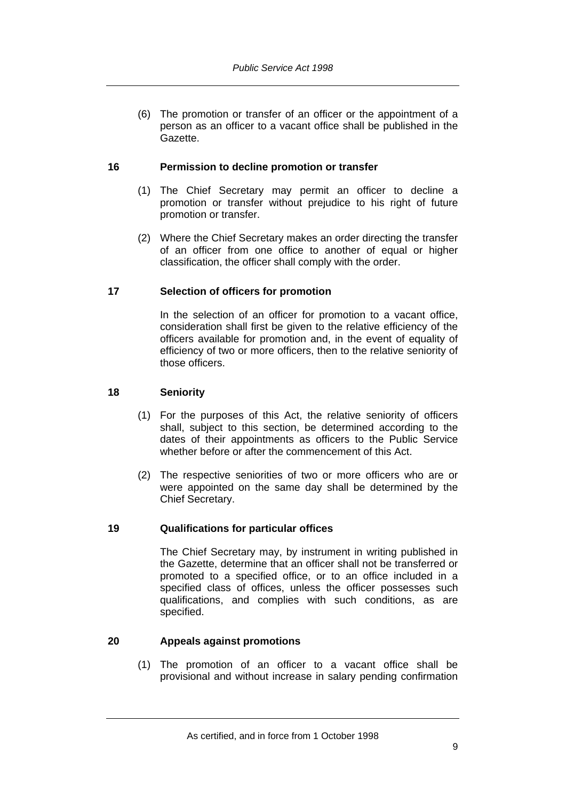(6) The promotion or transfer of an officer or the appointment of a person as an officer to a vacant office shall be published in the Gazette.

# **16 Permission to decline promotion or transfer**

- (1) The Chief Secretary may permit an officer to decline a promotion or transfer without prejudice to his right of future promotion or transfer.
- (2) Where the Chief Secretary makes an order directing the transfer of an officer from one office to another of equal or higher classification, the officer shall comply with the order.

# **17 Selection of officers for promotion**

In the selection of an officer for promotion to a vacant office, consideration shall first be given to the relative efficiency of the officers available for promotion and, in the event of equality of efficiency of two or more officers, then to the relative seniority of those officers.

# **18 Seniority**

- (1) For the purposes of this Act, the relative seniority of officers shall, subject to this section, be determined according to the dates of their appointments as officers to the Public Service whether before or after the commencement of this Act.
- (2) The respective seniorities of two or more officers who are or were appointed on the same day shall be determined by the Chief Secretary.

# **19 Qualifications for particular offices**

The Chief Secretary may, by instrument in writing published in the Gazette, determine that an officer shall not be transferred or promoted to a specified office, or to an office included in a specified class of offices, unless the officer possesses such qualifications, and complies with such conditions, as are specified.

# **20 Appeals against promotions**

 (1) The promotion of an officer to a vacant office shall be provisional and without increase in salary pending confirmation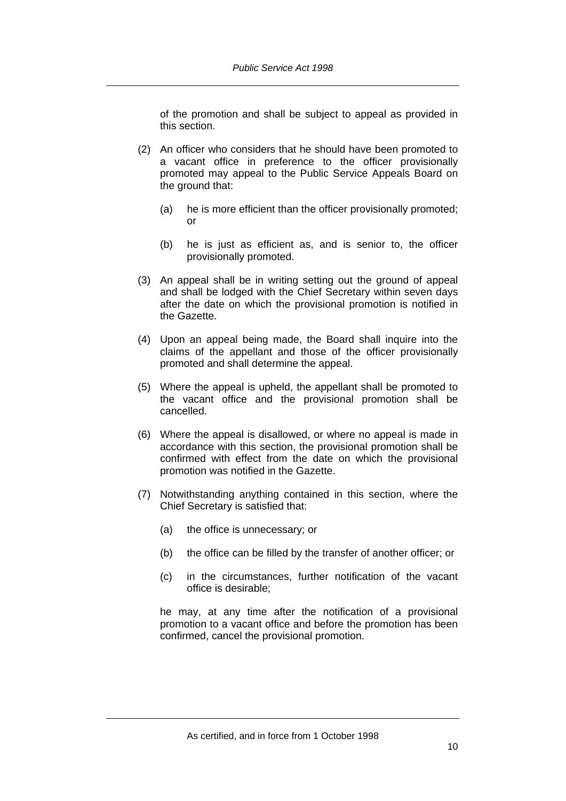of the promotion and shall be subject to appeal as provided in this section.

- (2) An officer who considers that he should have been promoted to a vacant office in preference to the officer provisionally promoted may appeal to the Public Service Appeals Board on the ground that:
	- (a) he is more efficient than the officer provisionally promoted; or
	- (b) he is just as efficient as, and is senior to, the officer provisionally promoted.
- (3) An appeal shall be in writing setting out the ground of appeal and shall be lodged with the Chief Secretary within seven days after the date on which the provisional promotion is notified in the Gazette.
- (4) Upon an appeal being made, the Board shall inquire into the claims of the appellant and those of the officer provisionally promoted and shall determine the appeal.
- (5) Where the appeal is upheld, the appellant shall be promoted to the vacant office and the provisional promotion shall be cancelled.
- (6) Where the appeal is disallowed, or where no appeal is made in accordance with this section, the provisional promotion shall be confirmed with effect from the date on which the provisional promotion was notified in the Gazette.
- (7) Notwithstanding anything contained in this section, where the Chief Secretary is satisfied that:
	- (a) the office is unnecessary; or
	- (b) the office can be filled by the transfer of another officer; or
	- (c) in the circumstances, further notification of the vacant office is desirable;

he may, at any time after the notification of a provisional promotion to a vacant office and before the promotion has been confirmed, cancel the provisional promotion.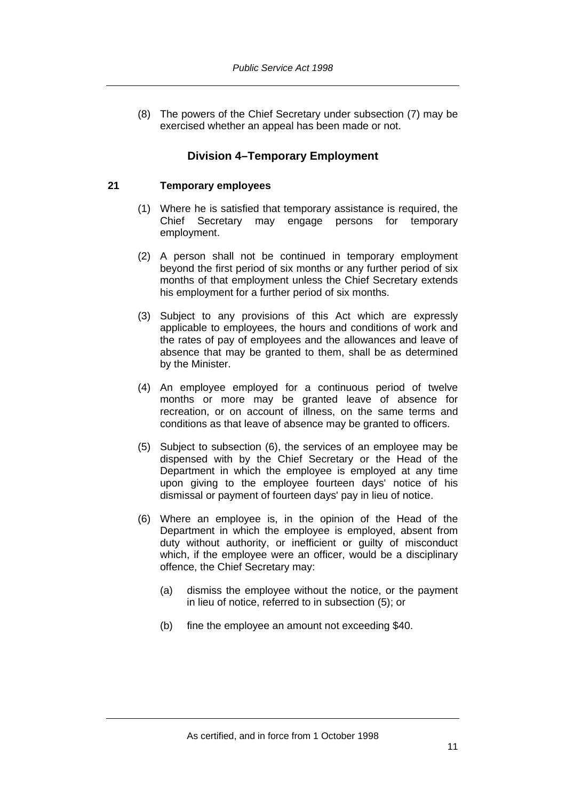(8) The powers of the Chief Secretary under subsection (7) may be exercised whether an appeal has been made or not.

# **Division 4–Temporary Employment**

## **21 Temporary employees**

- (1) Where he is satisfied that temporary assistance is required, the Chief Secretary may engage persons for temporary employment.
- (2) A person shall not be continued in temporary employment beyond the first period of six months or any further period of six months of that employment unless the Chief Secretary extends his employment for a further period of six months.
- (3) Subject to any provisions of this Act which are expressly applicable to employees, the hours and conditions of work and the rates of pay of employees and the allowances and leave of absence that may be granted to them, shall be as determined by the Minister.
- (4) An employee employed for a continuous period of twelve months or more may be granted leave of absence for recreation, or on account of illness, on the same terms and conditions as that leave of absence may be granted to officers.
- (5) Subject to subsection (6), the services of an employee may be dispensed with by the Chief Secretary or the Head of the Department in which the employee is employed at any time upon giving to the employee fourteen days' notice of his dismissal or payment of fourteen days' pay in lieu of notice.
- (6) Where an employee is, in the opinion of the Head of the Department in which the employee is employed, absent from duty without authority, or inefficient or guilty of misconduct which, if the employee were an officer, would be a disciplinary offence, the Chief Secretary may:
	- (a) dismiss the employee without the notice, or the payment in lieu of notice, referred to in subsection (5); or
	- (b) fine the employee an amount not exceeding \$40.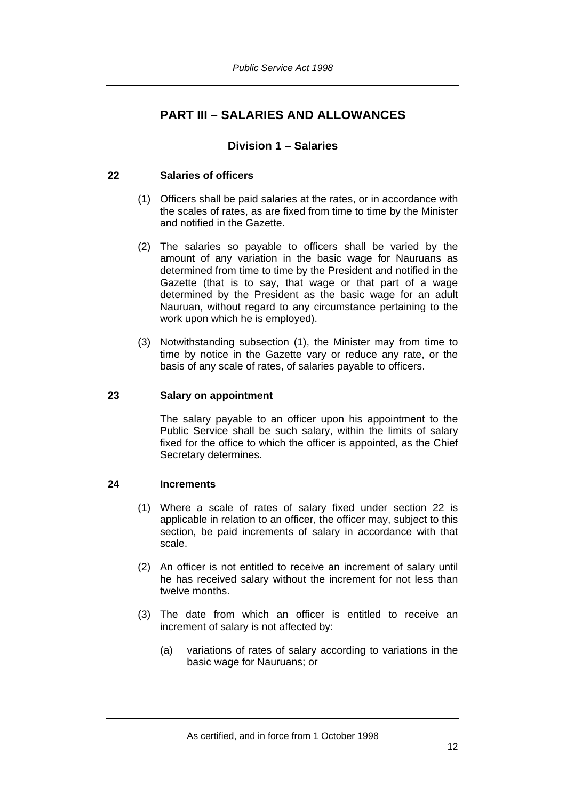# **PART III – SALARIES AND ALLOWANCES**

# **Division 1 – Salaries**

# **22 Salaries of officers**

- (1) Officers shall be paid salaries at the rates, or in accordance with the scales of rates, as are fixed from time to time by the Minister and notified in the Gazette.
- (2) The salaries so payable to officers shall be varied by the amount of any variation in the basic wage for Nauruans as determined from time to time by the President and notified in the Gazette (that is to say, that wage or that part of a wage determined by the President as the basic wage for an adult Nauruan, without regard to any circumstance pertaining to the work upon which he is employed).
- (3) Notwithstanding subsection (1), the Minister may from time to time by notice in the Gazette vary or reduce any rate, or the basis of any scale of rates, of salaries payable to officers.

# **23 Salary on appointment**

The salary payable to an officer upon his appointment to the Public Service shall be such salary, within the limits of salary fixed for the office to which the officer is appointed, as the Chief Secretary determines.

# **24 Increments**

- (1) Where a scale of rates of salary fixed under section 22 is applicable in relation to an officer, the officer may, subject to this section, be paid increments of salary in accordance with that scale.
- (2) An officer is not entitled to receive an increment of salary until he has received salary without the increment for not less than twelve months.
- (3) The date from which an officer is entitled to receive an increment of salary is not affected by:
	- (a) variations of rates of salary according to variations in the basic wage for Nauruans; or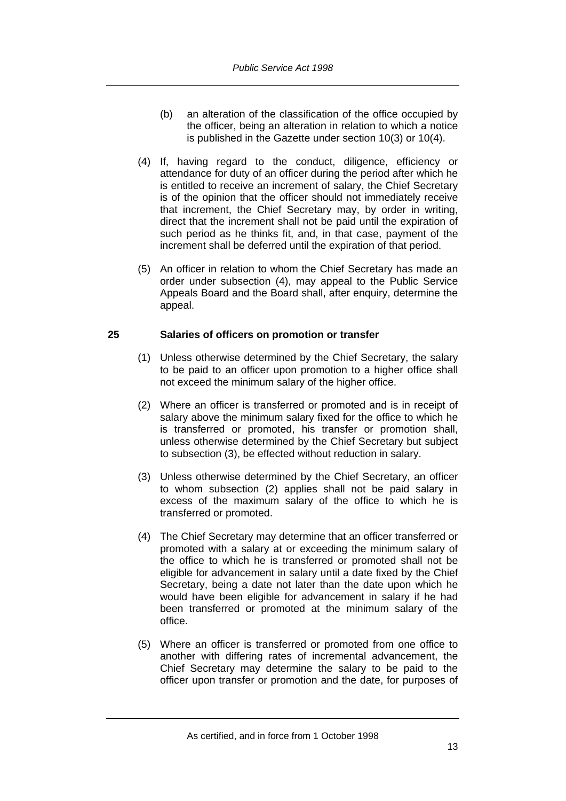- (b) an alteration of the classification of the office occupied by the officer, being an alteration in relation to which a notice is published in the Gazette under section 10(3) or 10(4).
- (4) If, having regard to the conduct, diligence, efficiency or attendance for duty of an officer during the period after which he is entitled to receive an increment of salary, the Chief Secretary is of the opinion that the officer should not immediately receive that increment, the Chief Secretary may, by order in writing, direct that the increment shall not be paid until the expiration of such period as he thinks fit, and, in that case, payment of the increment shall be deferred until the expiration of that period.
- (5) An officer in relation to whom the Chief Secretary has made an order under subsection (4), may appeal to the Public Service Appeals Board and the Board shall, after enquiry, determine the appeal.

# **25 Salaries of officers on promotion or transfer**

- (1) Unless otherwise determined by the Chief Secretary, the salary to be paid to an officer upon promotion to a higher office shall not exceed the minimum salary of the higher office.
- (2) Where an officer is transferred or promoted and is in receipt of salary above the minimum salary fixed for the office to which he is transferred or promoted, his transfer or promotion shall, unless otherwise determined by the Chief Secretary but subject to subsection (3), be effected without reduction in salary.
- (3) Unless otherwise determined by the Chief Secretary, an officer to whom subsection (2) applies shall not be paid salary in excess of the maximum salary of the office to which he is transferred or promoted.
- (4) The Chief Secretary may determine that an officer transferred or promoted with a salary at or exceeding the minimum salary of the office to which he is transferred or promoted shall not be eligible for advancement in salary until a date fixed by the Chief Secretary, being a date not later than the date upon which he would have been eligible for advancement in salary if he had been transferred or promoted at the minimum salary of the office.
- (5) Where an officer is transferred or promoted from one office to another with differing rates of incremental advancement, the Chief Secretary may determine the salary to be paid to the officer upon transfer or promotion and the date, for purposes of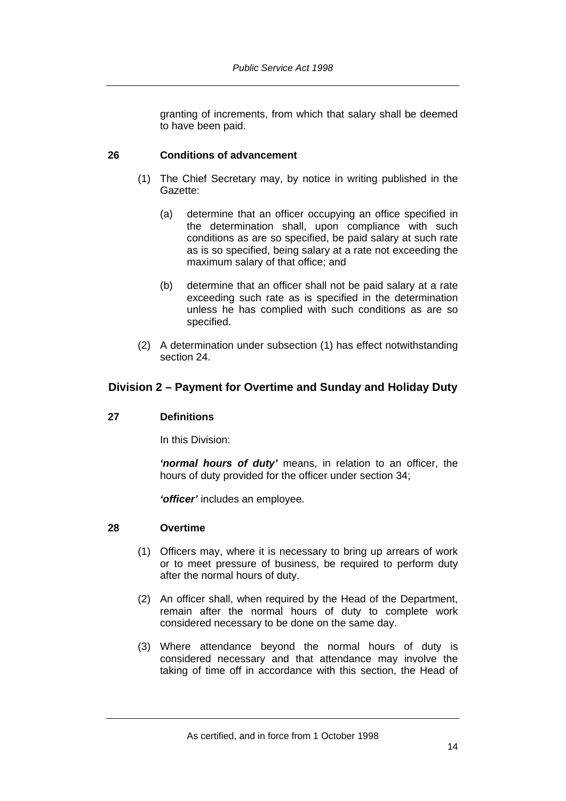granting of increments, from which that salary shall be deemed to have been paid.

## **26 Conditions of advancement**

- (1) The Chief Secretary may, by notice in writing published in the Gazette:
	- (a) determine that an officer occupying an office specified in the determination shall, upon compliance with such conditions as are so specified, be paid salary at such rate as is so specified, being salary at a rate not exceeding the maximum salary of that office; and
	- (b) determine that an officer shall not be paid salary at a rate exceeding such rate as is specified in the determination unless he has complied with such conditions as are so specified.
- (2) A determination under subsection (1) has effect notwithstanding section 24.

# **Division 2 – Payment for Overtime and Sunday and Holiday Duty**

#### **27 Definitions**

In this Division:

*'normal hours of duty'* means, in relation to an officer, the hours of duty provided for the officer under section 34;

*'officer'* includes an employee.

#### **28 Overtime**

- (1) Officers may, where it is necessary to bring up arrears of work or to meet pressure of business, be required to perform duty after the normal hours of duty.
- (2) An officer shall, when required by the Head of the Department, remain after the normal hours of duty to complete work considered necessary to be done on the same day.
- (3) Where attendance beyond the normal hours of duty is considered necessary and that attendance may involve the taking of time off in accordance with this section, the Head of

As certified, and in force from 1 October 1998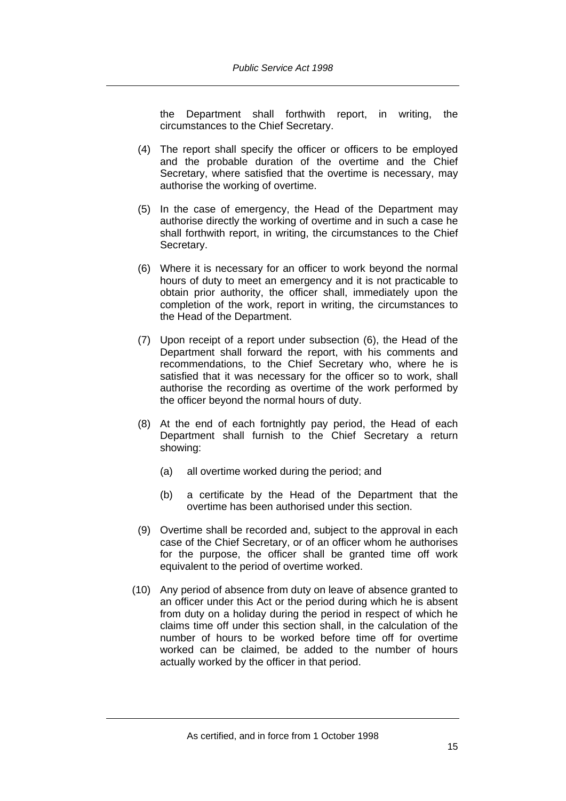the Department shall forthwith report, in writing, the circumstances to the Chief Secretary.

- (4) The report shall specify the officer or officers to be employed and the probable duration of the overtime and the Chief Secretary, where satisfied that the overtime is necessary, may authorise the working of overtime.
- (5) In the case of emergency, the Head of the Department may authorise directly the working of overtime and in such a case he shall forthwith report, in writing, the circumstances to the Chief Secretary.
- (6) Where it is necessary for an officer to work beyond the normal hours of duty to meet an emergency and it is not practicable to obtain prior authority, the officer shall, immediately upon the completion of the work, report in writing, the circumstances to the Head of the Department.
- (7) Upon receipt of a report under subsection (6), the Head of the Department shall forward the report, with his comments and recommendations, to the Chief Secretary who, where he is satisfied that it was necessary for the officer so to work, shall authorise the recording as overtime of the work performed by the officer beyond the normal hours of duty.
- (8) At the end of each fortnightly pay period, the Head of each Department shall furnish to the Chief Secretary a return showing:
	- (a) all overtime worked during the period; and
	- (b) a certificate by the Head of the Department that the overtime has been authorised under this section.
- (9) Overtime shall be recorded and, subject to the approval in each case of the Chief Secretary, or of an officer whom he authorises for the purpose, the officer shall be granted time off work equivalent to the period of overtime worked.
- (10) Any period of absence from duty on leave of absence granted to an officer under this Act or the period during which he is absent from duty on a holiday during the period in respect of which he claims time off under this section shall, in the calculation of the number of hours to be worked before time off for overtime worked can be claimed, be added to the number of hours actually worked by the officer in that period.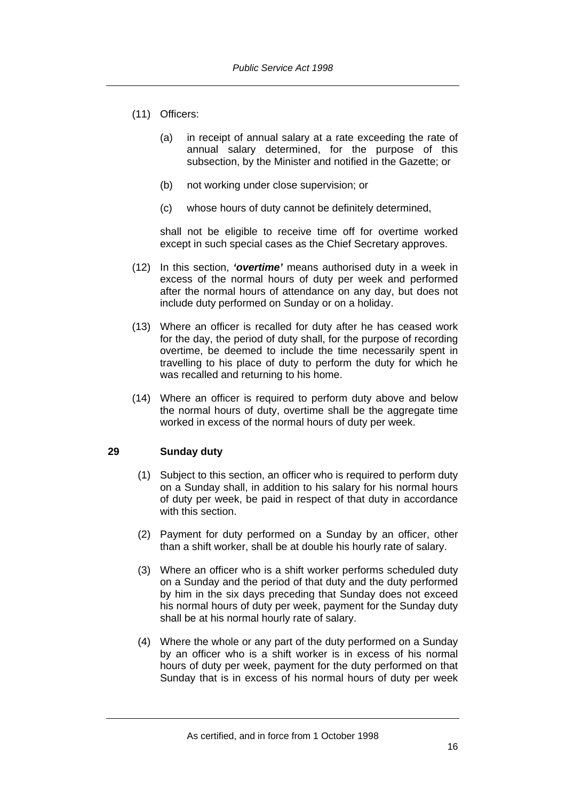- (11) Officers:
	- (a) in receipt of annual salary at a rate exceeding the rate of annual salary determined, for the purpose of this subsection, by the Minister and notified in the Gazette; or
	- (b) not working under close supervision; or
	- (c) whose hours of duty cannot be definitely determined,

shall not be eligible to receive time off for overtime worked except in such special cases as the Chief Secretary approves.

- (12) In this section, *'overtime'* means authorised duty in a week in excess of the normal hours of duty per week and performed after the normal hours of attendance on any day, but does not include duty performed on Sunday or on a holiday.
- (13) Where an officer is recalled for duty after he has ceased work for the day, the period of duty shall, for the purpose of recording overtime, be deemed to include the time necessarily spent in travelling to his place of duty to perform the duty for which he was recalled and returning to his home.
- (14) Where an officer is required to perform duty above and below the normal hours of duty, overtime shall be the aggregate time worked in excess of the normal hours of duty per week.

# **29 Sunday duty**

- (1) Subject to this section, an officer who is required to perform duty on a Sunday shall, in addition to his salary for his normal hours of duty per week, be paid in respect of that duty in accordance with this section.
- (2) Payment for duty performed on a Sunday by an officer, other than a shift worker, shall be at double his hourly rate of salary.
- (3) Where an officer who is a shift worker performs scheduled duty on a Sunday and the period of that duty and the duty performed by him in the six days preceding that Sunday does not exceed his normal hours of duty per week, payment for the Sunday duty shall be at his normal hourly rate of salary.
- (4) Where the whole or any part of the duty performed on a Sunday by an officer who is a shift worker is in excess of his normal hours of duty per week, payment for the duty performed on that Sunday that is in excess of his normal hours of duty per week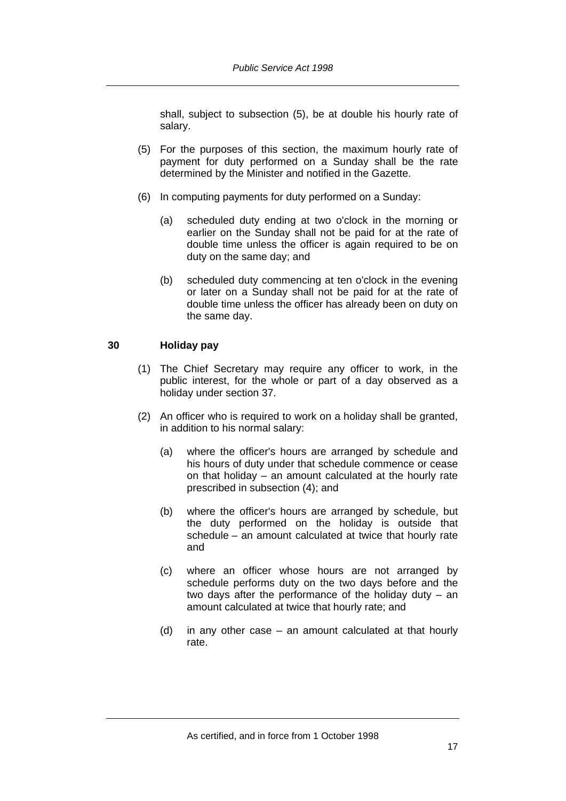shall, subject to subsection (5), be at double his hourly rate of salary.

- (5) For the purposes of this section, the maximum hourly rate of payment for duty performed on a Sunday shall be the rate determined by the Minister and notified in the Gazette.
- (6) In computing payments for duty performed on a Sunday:
	- (a) scheduled duty ending at two o'clock in the morning or earlier on the Sunday shall not be paid for at the rate of double time unless the officer is again required to be on duty on the same day; and
	- (b) scheduled duty commencing at ten o'clock in the evening or later on a Sunday shall not be paid for at the rate of double time unless the officer has already been on duty on the same day.

# **30 Holiday pay**

- (1) The Chief Secretary may require any officer to work, in the public interest, for the whole or part of a day observed as a holiday under section 37.
- (2) An officer who is required to work on a holiday shall be granted, in addition to his normal salary:
	- (a) where the officer's hours are arranged by schedule and his hours of duty under that schedule commence or cease on that holiday – an amount calculated at the hourly rate prescribed in subsection (4); and
	- (b) where the officer's hours are arranged by schedule, but the duty performed on the holiday is outside that schedule – an amount calculated at twice that hourly rate and
	- (c) where an officer whose hours are not arranged by schedule performs duty on the two days before and the two days after the performance of the holiday duty – an amount calculated at twice that hourly rate; and
	- (d) in any other case an amount calculated at that hourly rate.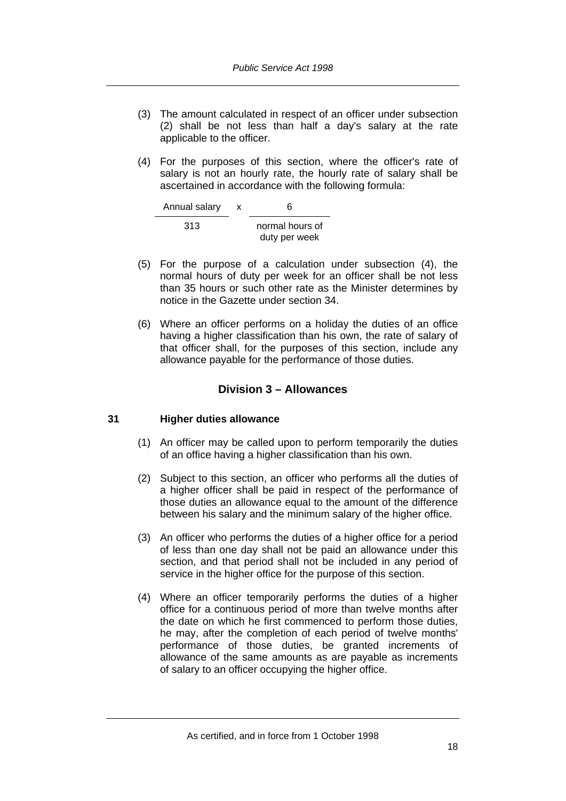- (3) The amount calculated in respect of an officer under subsection (2) shall be not less than half a day's salary at the rate applicable to the officer.
- (4) For the purposes of this section, where the officer's rate of salary is not an hourly rate, the hourly rate of salary shall be ascertained in accordance with the following formula:

| Annual salary | x | ิค                               |
|---------------|---|----------------------------------|
| 313           |   | normal hours of<br>duty per week |

- (5) For the purpose of a calculation under subsection (4), the normal hours of duty per week for an officer shall be not less than 35 hours or such other rate as the Minister determines by notice in the Gazette under section 34.
- (6) Where an officer performs on a holiday the duties of an office having a higher classification than his own, the rate of salary of that officer shall, for the purposes of this section, include any allowance payable for the performance of those duties.

# **Division 3 – Allowances**

# **31 Higher duties allowance**

- (1) An officer may be called upon to perform temporarily the duties of an office having a higher classification than his own.
- (2) Subject to this section, an officer who performs all the duties of a higher officer shall be paid in respect of the performance of those duties an allowance equal to the amount of the difference between his salary and the minimum salary of the higher office.
- (3) An officer who performs the duties of a higher office for a period of less than one day shall not be paid an allowance under this section, and that period shall not be included in any period of service in the higher office for the purpose of this section.
- (4) Where an officer temporarily performs the duties of a higher office for a continuous period of more than twelve months after the date on which he first commenced to perform those duties, he may, after the completion of each period of twelve months' performance of those duties, be granted increments of allowance of the same amounts as are payable as increments of salary to an officer occupying the higher office.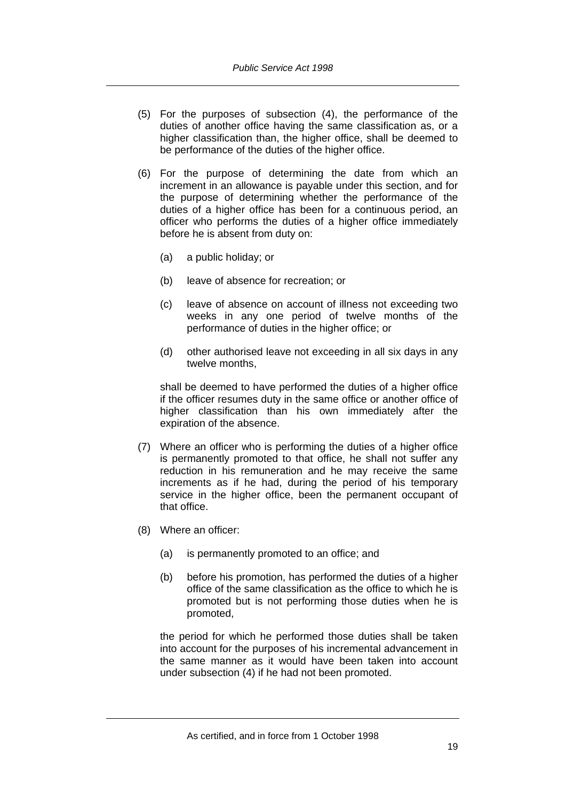- (5) For the purposes of subsection (4), the performance of the duties of another office having the same classification as, or a higher classification than, the higher office, shall be deemed to be performance of the duties of the higher office.
- (6) For the purpose of determining the date from which an increment in an allowance is payable under this section, and for the purpose of determining whether the performance of the duties of a higher office has been for a continuous period, an officer who performs the duties of a higher office immediately before he is absent from duty on:
	- (a) a public holiday; or
	- (b) leave of absence for recreation; or
	- (c) leave of absence on account of illness not exceeding two weeks in any one period of twelve months of the performance of duties in the higher office; or
	- (d) other authorised leave not exceeding in all six days in any twelve months.

shall be deemed to have performed the duties of a higher office if the officer resumes duty in the same office or another office of higher classification than his own immediately after the expiration of the absence.

- (7) Where an officer who is performing the duties of a higher office is permanently promoted to that office, he shall not suffer any reduction in his remuneration and he may receive the same increments as if he had, during the period of his temporary service in the higher office, been the permanent occupant of that office.
- (8) Where an officer:
	- (a) is permanently promoted to an office; and
	- (b) before his promotion, has performed the duties of a higher office of the same classification as the office to which he is promoted but is not performing those duties when he is promoted,

the period for which he performed those duties shall be taken into account for the purposes of his incremental advancement in the same manner as it would have been taken into account under subsection (4) if he had not been promoted.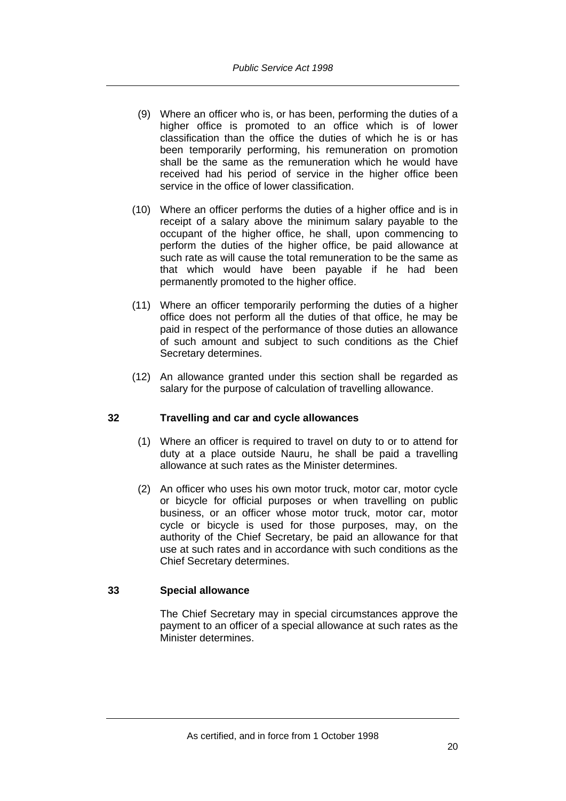- (9) Where an officer who is, or has been, performing the duties of a higher office is promoted to an office which is of lower classification than the office the duties of which he is or has been temporarily performing, his remuneration on promotion shall be the same as the remuneration which he would have received had his period of service in the higher office been service in the office of lower classification.
- (10) Where an officer performs the duties of a higher office and is in receipt of a salary above the minimum salary payable to the occupant of the higher office, he shall, upon commencing to perform the duties of the higher office, be paid allowance at such rate as will cause the total remuneration to be the same as that which would have been payable if he had been permanently promoted to the higher office.
- (11) Where an officer temporarily performing the duties of a higher office does not perform all the duties of that office, he may be paid in respect of the performance of those duties an allowance of such amount and subject to such conditions as the Chief Secretary determines.
- (12) An allowance granted under this section shall be regarded as salary for the purpose of calculation of travelling allowance.

# **32 Travelling and car and cycle allowances**

- (1) Where an officer is required to travel on duty to or to attend for duty at a place outside Nauru, he shall be paid a travelling allowance at such rates as the Minister determines.
- (2) An officer who uses his own motor truck, motor car, motor cycle or bicycle for official purposes or when travelling on public business, or an officer whose motor truck, motor car, motor cycle or bicycle is used for those purposes, may, on the authority of the Chief Secretary, be paid an allowance for that use at such rates and in accordance with such conditions as the Chief Secretary determines.

# **33 Special allowance**

The Chief Secretary may in special circumstances approve the payment to an officer of a special allowance at such rates as the Minister determines.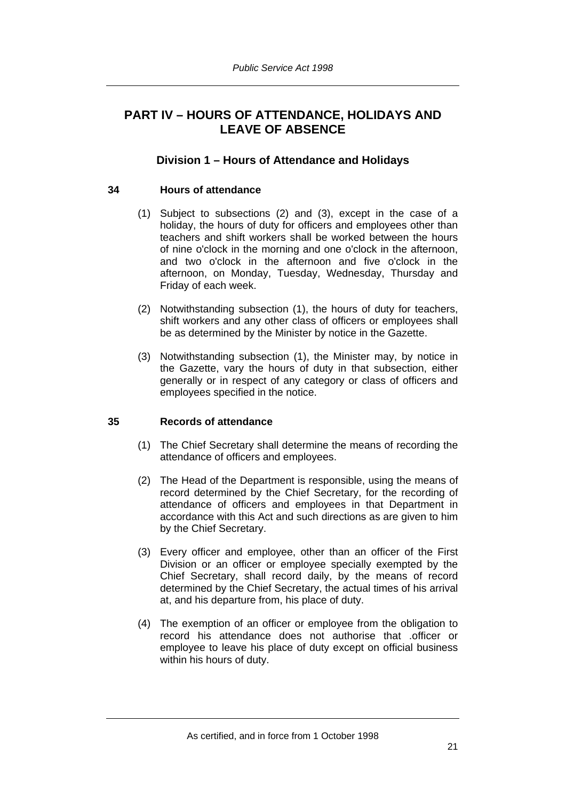# **PART IV – HOURS OF ATTENDANCE, HOLIDAYS AND LEAVE OF ABSENCE**

# **Division 1 – Hours of Attendance and Holidays**

# **34 Hours of attendance**

- (1) Subject to subsections (2) and (3), except in the case of a holiday, the hours of duty for officers and employees other than teachers and shift workers shall be worked between the hours of nine o'clock in the morning and one o'clock in the afternoon, and two o'clock in the afternoon and five o'clock in the afternoon, on Monday, Tuesday, Wednesday, Thursday and Friday of each week.
- (2) Notwithstanding subsection (1), the hours of duty for teachers, shift workers and any other class of officers or employees shall be as determined by the Minister by notice in the Gazette.
- (3) Notwithstanding subsection (1), the Minister may, by notice in the Gazette, vary the hours of duty in that subsection, either generally or in respect of any category or class of officers and employees specified in the notice.

# **35 Records of attendance**

- (1) The Chief Secretary shall determine the means of recording the attendance of officers and employees.
- (2) The Head of the Department is responsible, using the means of record determined by the Chief Secretary, for the recording of attendance of officers and employees in that Department in accordance with this Act and such directions as are given to him by the Chief Secretary.
- (3) Every officer and employee, other than an officer of the First Division or an officer or employee specially exempted by the Chief Secretary, shall record daily, by the means of record determined by the Chief Secretary, the actual times of his arrival at, and his departure from, his place of duty.
- (4) The exemption of an officer or employee from the obligation to record his attendance does not authorise that .officer or employee to leave his place of duty except on official business within his hours of duty.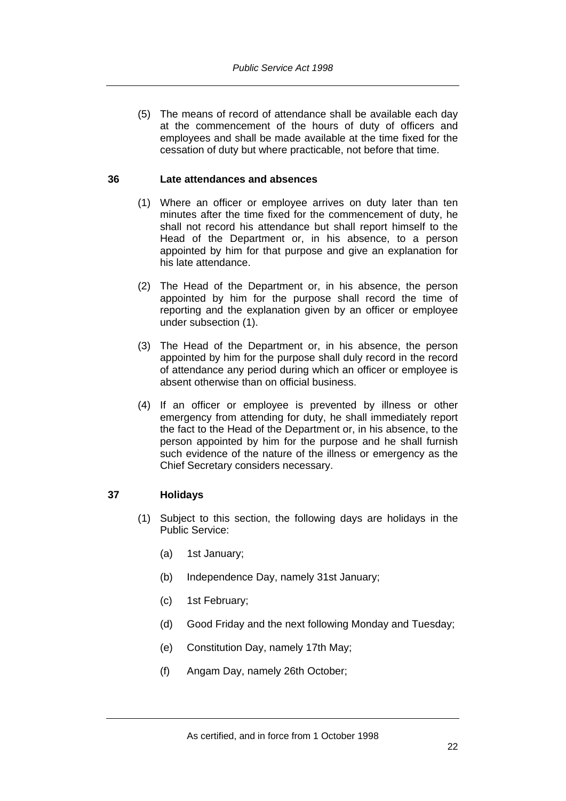(5) The means of record of attendance shall be available each day at the commencement of the hours of duty of officers and employees and shall be made available at the time fixed for the cessation of duty but where practicable, not before that time.

## **36 Late attendances and absences**

- (1) Where an officer or employee arrives on duty later than ten minutes after the time fixed for the commencement of duty, he shall not record his attendance but shall report himself to the Head of the Department or, in his absence, to a person appointed by him for that purpose and give an explanation for his late attendance.
- (2) The Head of the Department or, in his absence, the person appointed by him for the purpose shall record the time of reporting and the explanation given by an officer or employee under subsection (1).
- (3) The Head of the Department or, in his absence, the person appointed by him for the purpose shall duly record in the record of attendance any period during which an officer or employee is absent otherwise than on official business.
- (4) If an officer or employee is prevented by illness or other emergency from attending for duty, he shall immediately report the fact to the Head of the Department or, in his absence, to the person appointed by him for the purpose and he shall furnish such evidence of the nature of the illness or emergency as the Chief Secretary considers necessary.

# **37 Holidays**

- (1) Subject to this section, the following days are holidays in the Public Service:
	- (a) 1st January;
	- (b) Independence Day, namely 31st January;
	- (c) 1st February;
	- (d) Good Friday and the next following Monday and Tuesday;
	- (e) Constitution Day, namely 17th May;
	- (f) Angam Day, namely 26th October;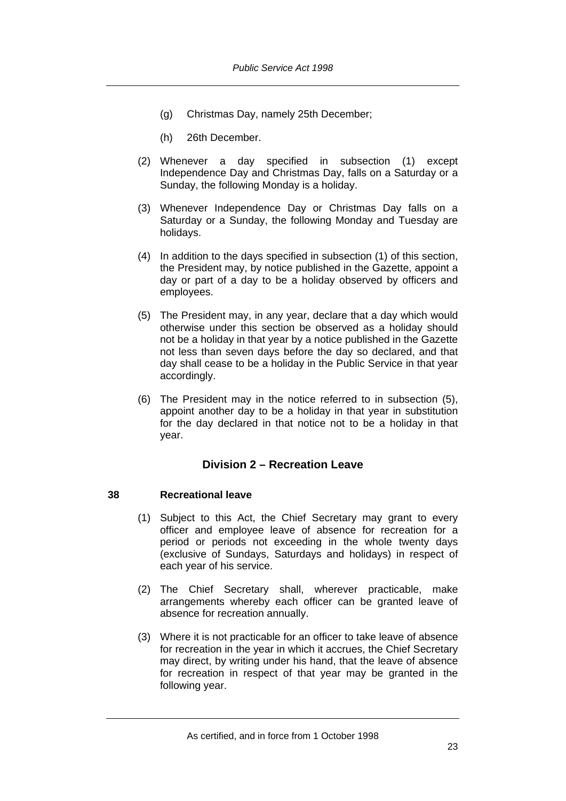- (g) Christmas Day, namely 25th December;
- (h) 26th December.
- (2) Whenever a day specified in subsection (1) except Independence Day and Christmas Day, falls on a Saturday or a Sunday, the following Monday is a holiday.
- (3) Whenever Independence Day or Christmas Day falls on a Saturday or a Sunday, the following Monday and Tuesday are holidays.
- (4) In addition to the days specified in subsection (1) of this section, the President may, by notice published in the Gazette, appoint a day or part of a day to be a holiday observed by officers and employees.
- (5) The President may, in any year, declare that a day which would otherwise under this section be observed as a holiday should not be a holiday in that year by a notice published in the Gazette not less than seven days before the day so declared, and that day shall cease to be a holiday in the Public Service in that year accordingly.
- (6) The President may in the notice referred to in subsection (5), appoint another day to be a holiday in that year in substitution for the day declared in that notice not to be a holiday in that year.

# **Division 2 – Recreation Leave**

# **38 Recreational leave**

- (1) Subject to this Act, the Chief Secretary may grant to every officer and employee leave of absence for recreation for a period or periods not exceeding in the whole twenty days (exclusive of Sundays, Saturdays and holidays) in respect of each year of his service.
- (2) The Chief Secretary shall, wherever practicable, make arrangements whereby each officer can be granted leave of absence for recreation annually.
- (3) Where it is not practicable for an officer to take leave of absence for recreation in the year in which it accrues, the Chief Secretary may direct, by writing under his hand, that the leave of absence for recreation in respect of that year may be granted in the following year.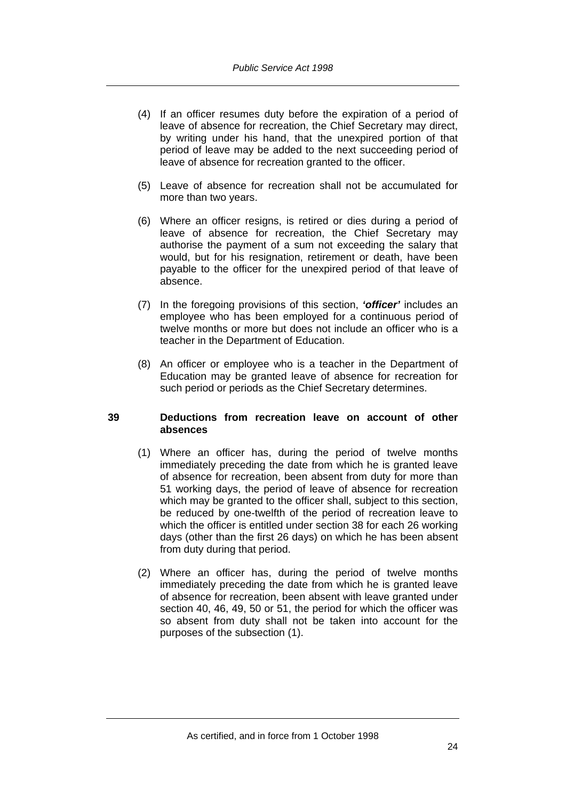- (4) If an officer resumes duty before the expiration of a period of leave of absence for recreation, the Chief Secretary may direct, by writing under his hand, that the unexpired portion of that period of leave may be added to the next succeeding period of leave of absence for recreation granted to the officer.
- (5) Leave of absence for recreation shall not be accumulated for more than two years.
- (6) Where an officer resigns, is retired or dies during a period of leave of absence for recreation, the Chief Secretary may authorise the payment of a sum not exceeding the salary that would, but for his resignation, retirement or death, have been payable to the officer for the unexpired period of that leave of absence.
- (7) In the foregoing provisions of this section, *'officer'* includes an employee who has been employed for a continuous period of twelve months or more but does not include an officer who is a teacher in the Department of Education.
- (8) An officer or employee who is a teacher in the Department of Education may be granted leave of absence for recreation for such period or periods as the Chief Secretary determines.

#### **39 Deductions from recreation leave on account of other absences**

- (1) Where an officer has, during the period of twelve months immediately preceding the date from which he is granted leave of absence for recreation, been absent from duty for more than 51 working days, the period of leave of absence for recreation which may be granted to the officer shall, subject to this section, be reduced by one-twelfth of the period of recreation leave to which the officer is entitled under section 38 for each 26 working days (other than the first 26 days) on which he has been absent from duty during that period.
- (2) Where an officer has, during the period of twelve months immediately preceding the date from which he is granted leave of absence for recreation, been absent with leave granted under section 40, 46, 49, 50 or 51, the period for which the officer was so absent from duty shall not be taken into account for the purposes of the subsection (1).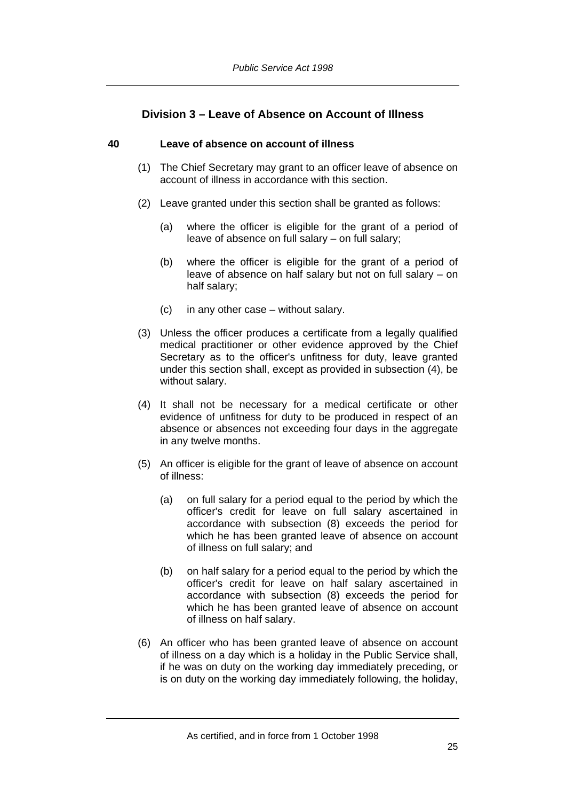# **Division 3 – Leave of Absence on Account of Illness**

## **40 Leave of absence on account of illness**

- (1) The Chief Secretary may grant to an officer leave of absence on account of illness in accordance with this section.
- (2) Leave granted under this section shall be granted as follows:
	- (a) where the officer is eligible for the grant of a period of leave of absence on full salary – on full salary;
	- (b) where the officer is eligible for the grant of a period of leave of absence on half salary but not on full salary – on half salary;
	- (c) in any other case without salary.
- (3) Unless the officer produces a certificate from a legally qualified medical practitioner or other evidence approved by the Chief Secretary as to the officer's unfitness for duty, leave granted under this section shall, except as provided in subsection (4), be without salary.
- (4) It shall not be necessary for a medical certificate or other evidence of unfitness for duty to be produced in respect of an absence or absences not exceeding four days in the aggregate in any twelve months.
- (5) An officer is eligible for the grant of leave of absence on account of illness:
	- (a) on full salary for a period equal to the period by which the officer's credit for leave on full salary ascertained in accordance with subsection (8) exceeds the period for which he has been granted leave of absence on account of illness on full salary; and
	- (b) on half salary for a period equal to the period by which the officer's credit for leave on half salary ascertained in accordance with subsection (8) exceeds the period for which he has been granted leave of absence on account of illness on half salary.
- (6) An officer who has been granted leave of absence on account of illness on a day which is a holiday in the Public Service shall, if he was on duty on the working day immediately preceding, or is on duty on the working day immediately following, the holiday,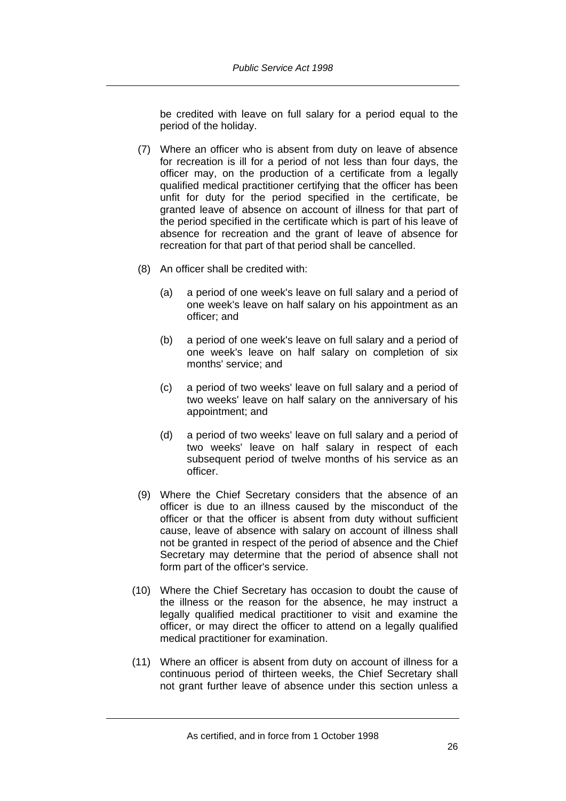be credited with leave on full salary for a period equal to the period of the holiday.

- (7) Where an officer who is absent from duty on leave of absence for recreation is ill for a period of not less than four days, the officer may, on the production of a certificate from a legally qualified medical practitioner certifying that the officer has been unfit for duty for the period specified in the certificate, be granted leave of absence on account of illness for that part of the period specified in the certificate which is part of his leave of absence for recreation and the grant of leave of absence for recreation for that part of that period shall be cancelled.
- (8) An officer shall be credited with:
	- (a) a period of one week's leave on full salary and a period of one week's leave on half salary on his appointment as an officer; and
	- (b) a period of one week's leave on full salary and a period of one week's leave on half salary on completion of six months' service; and
	- (c) a period of two weeks' leave on full salary and a period of two weeks' leave on half salary on the anniversary of his appointment; and
	- (d) a period of two weeks' leave on full salary and a period of two weeks' leave on half salary in respect of each subsequent period of twelve months of his service as an officer.
- (9) Where the Chief Secretary considers that the absence of an officer is due to an illness caused by the misconduct of the officer or that the officer is absent from duty without sufficient cause, leave of absence with salary on account of illness shall not be granted in respect of the period of absence and the Chief Secretary may determine that the period of absence shall not form part of the officer's service.
- (10) Where the Chief Secretary has occasion to doubt the cause of the illness or the reason for the absence, he may instruct a legally qualified medical practitioner to visit and examine the officer, or may direct the officer to attend on a legally qualified medical practitioner for examination.
- (11) Where an officer is absent from duty on account of illness for a continuous period of thirteen weeks, the Chief Secretary shall not grant further leave of absence under this section unless a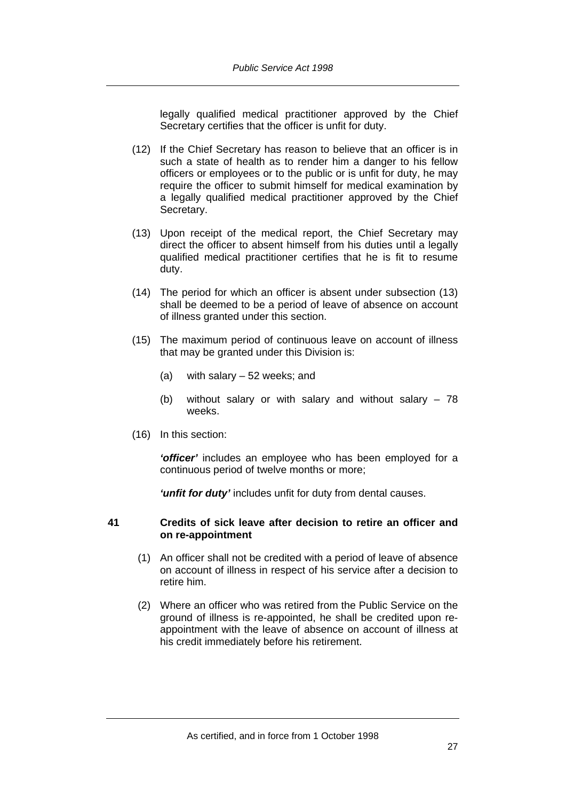legally qualified medical practitioner approved by the Chief Secretary certifies that the officer is unfit for duty.

- (12) If the Chief Secretary has reason to believe that an officer is in such a state of health as to render him a danger to his fellow officers or employees or to the public or is unfit for duty, he may require the officer to submit himself for medical examination by a legally qualified medical practitioner approved by the Chief Secretary.
- (13) Upon receipt of the medical report, the Chief Secretary may direct the officer to absent himself from his duties until a legally qualified medical practitioner certifies that he is fit to resume duty.
- (14) The period for which an officer is absent under subsection (13) shall be deemed to be a period of leave of absence on account of illness granted under this section.
- (15) The maximum period of continuous leave on account of illness that may be granted under this Division is:
	- (a) with salary 52 weeks; and
	- (b) without salary or with salary and without salary 78 weeks.
- (16) In this section:

*'officer'* includes an employee who has been employed for a continuous period of twelve months or more;

*'unfit for duty'* includes unfit for duty from dental causes.

## **41 Credits of sick leave after decision to retire an officer and on re-appointment**

- (1) An officer shall not be credited with a period of leave of absence on account of illness in respect of his service after a decision to retire him.
- (2) Where an officer who was retired from the Public Service on the ground of illness is re-appointed, he shall be credited upon reappointment with the leave of absence on account of illness at his credit immediately before his retirement.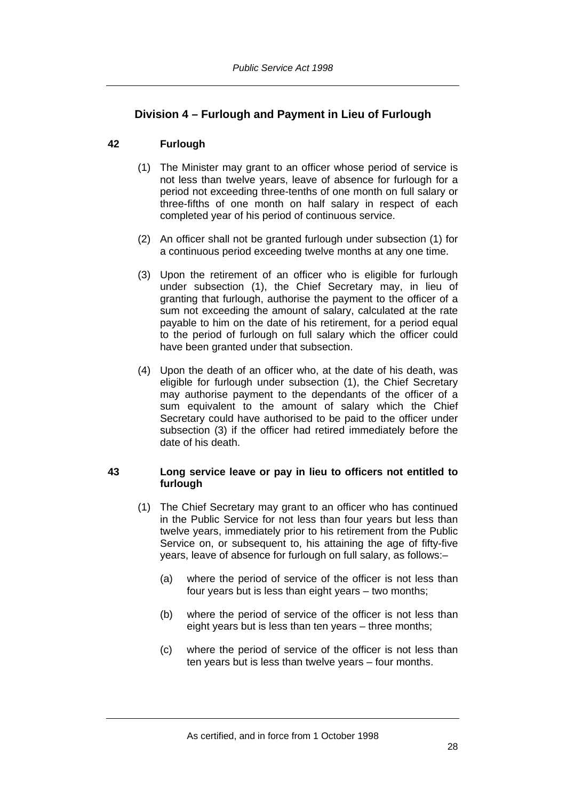# **Division 4 – Furlough and Payment in Lieu of Furlough**

# **42 Furlough**

- (1) The Minister may grant to an officer whose period of service is not less than twelve years, leave of absence for furlough for a period not exceeding three-tenths of one month on full salary or three-fifths of one month on half salary in respect of each completed year of his period of continuous service.
- (2) An officer shall not be granted furlough under subsection (1) for a continuous period exceeding twelve months at any one time.
- (3) Upon the retirement of an officer who is eligible for furlough under subsection (1), the Chief Secretary may, in lieu of granting that furlough, authorise the payment to the officer of a sum not exceeding the amount of salary, calculated at the rate payable to him on the date of his retirement, for a period equal to the period of furlough on full salary which the officer could have been granted under that subsection.
- (4) Upon the death of an officer who, at the date of his death, was eligible for furlough under subsection (1), the Chief Secretary may authorise payment to the dependants of the officer of a sum equivalent to the amount of salary which the Chief Secretary could have authorised to be paid to the officer under subsection (3) if the officer had retired immediately before the date of his death.

# **43 Long service leave or pay in lieu to officers not entitled to furlough**

- (1) The Chief Secretary may grant to an officer who has continued in the Public Service for not less than four years but less than twelve years, immediately prior to his retirement from the Public Service on, or subsequent to, his attaining the age of fifty-five years, leave of absence for furlough on full salary, as follows:–
	- (a) where the period of service of the officer is not less than four years but is less than eight years – two months;
	- (b) where the period of service of the officer is not less than eight years but is less than ten years – three months;
	- (c) where the period of service of the officer is not less than ten years but is less than twelve years – four months.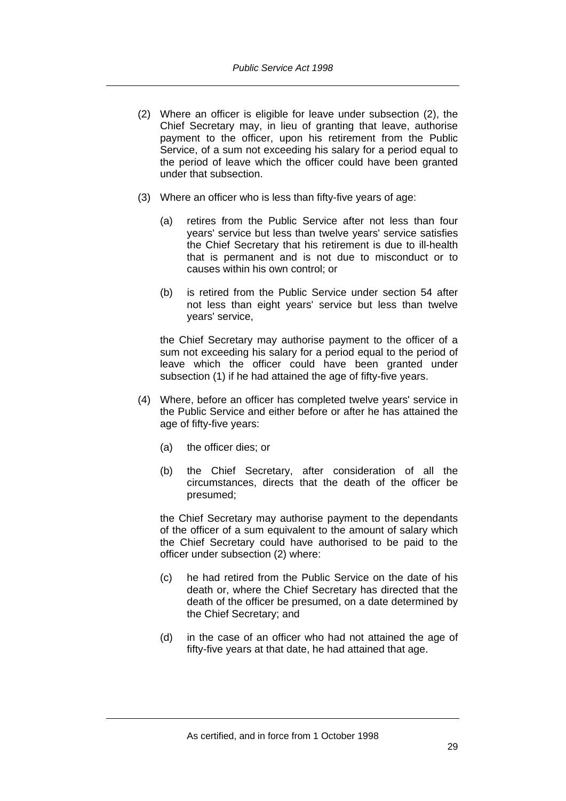- (2) Where an officer is eligible for leave under subsection (2), the Chief Secretary may, in lieu of granting that leave, authorise payment to the officer, upon his retirement from the Public Service, of a sum not exceeding his salary for a period equal to the period of leave which the officer could have been granted under that subsection.
- (3) Where an officer who is less than fifty-five years of age:
	- (a) retires from the Public Service after not less than four years' service but less than twelve years' service satisfies the Chief Secretary that his retirement is due to ill-health that is permanent and is not due to misconduct or to causes within his own control; or
	- (b) is retired from the Public Service under section 54 after not less than eight years' service but less than twelve years' service,

the Chief Secretary may authorise payment to the officer of a sum not exceeding his salary for a period equal to the period of leave which the officer could have been granted under subsection (1) if he had attained the age of fifty-five years.

- (4) Where, before an officer has completed twelve years' service in the Public Service and either before or after he has attained the age of fifty-five years:
	- (a) the officer dies; or
	- (b) the Chief Secretary, after consideration of all the circumstances, directs that the death of the officer be presumed;

the Chief Secretary may authorise payment to the dependants of the officer of a sum equivalent to the amount of salary which the Chief Secretary could have authorised to be paid to the officer under subsection (2) where:

- (c) he had retired from the Public Service on the date of his death or, where the Chief Secretary has directed that the death of the officer be presumed, on a date determined by the Chief Secretary; and
- (d) in the case of an officer who had not attained the age of fifty-five years at that date, he had attained that age.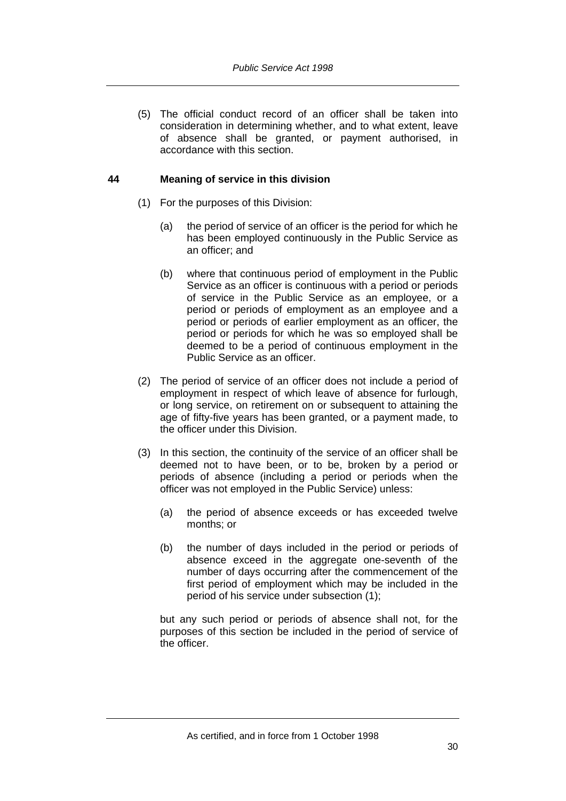(5) The official conduct record of an officer shall be taken into consideration in determining whether, and to what extent, leave of absence shall be granted, or payment authorised, in accordance with this section.

## **44 Meaning of service in this division**

- (1) For the purposes of this Division:
	- (a) the period of service of an officer is the period for which he has been employed continuously in the Public Service as an officer; and
	- (b) where that continuous period of employment in the Public Service as an officer is continuous with a period or periods of service in the Public Service as an employee, or a period or periods of employment as an employee and a period or periods of earlier employment as an officer, the period or periods for which he was so employed shall be deemed to be a period of continuous employment in the Public Service as an officer.
- (2) The period of service of an officer does not include a period of employment in respect of which leave of absence for furlough, or long service, on retirement on or subsequent to attaining the age of fifty-five years has been granted, or a payment made, to the officer under this Division.
- (3) In this section, the continuity of the service of an officer shall be deemed not to have been, or to be, broken by a period or periods of absence (including a period or periods when the officer was not employed in the Public Service) unless:
	- (a) the period of absence exceeds or has exceeded twelve months; or
	- (b) the number of days included in the period or periods of absence exceed in the aggregate one-seventh of the number of days occurring after the commencement of the first period of employment which may be included in the period of his service under subsection (1);

but any such period or periods of absence shall not, for the purposes of this section be included in the period of service of the officer.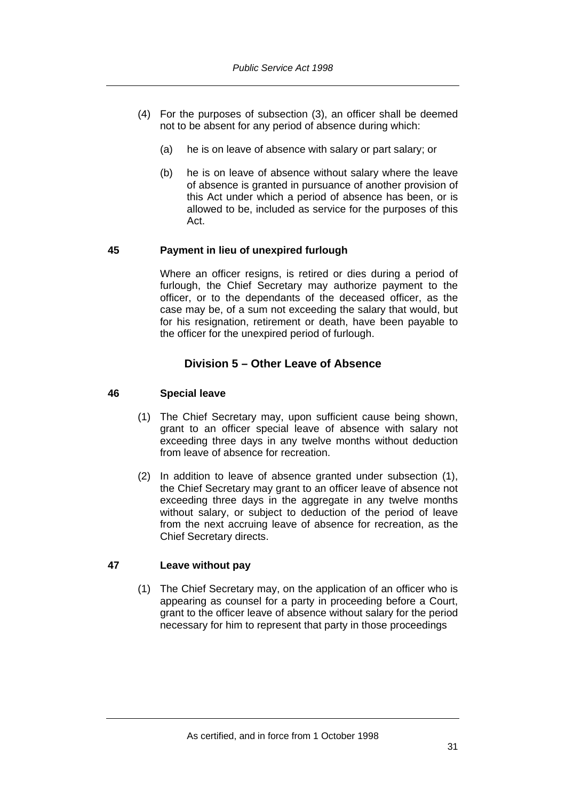- (4) For the purposes of subsection (3), an officer shall be deemed not to be absent for any period of absence during which:
	- (a) he is on leave of absence with salary or part salary; or
	- (b) he is on leave of absence without salary where the leave of absence is granted in pursuance of another provision of this Act under which a period of absence has been, or is allowed to be, included as service for the purposes of this Act.

# **45 Payment in lieu of unexpired furlough**

Where an officer resigns, is retired or dies during a period of furlough, the Chief Secretary may authorize payment to the officer, or to the dependants of the deceased officer, as the case may be, of a sum not exceeding the salary that would, but for his resignation, retirement or death, have been payable to the officer for the unexpired period of furlough.

# **Division 5 – Other Leave of Absence**

# **46 Special leave**

- (1) The Chief Secretary may, upon sufficient cause being shown, grant to an officer special leave of absence with salary not exceeding three days in any twelve months without deduction from leave of absence for recreation.
- (2) In addition to leave of absence granted under subsection (1), the Chief Secretary may grant to an officer leave of absence not exceeding three days in the aggregate in any twelve months without salary, or subject to deduction of the period of leave from the next accruing leave of absence for recreation, as the Chief Secretary directs.

# **47 Leave without pay**

 (1) The Chief Secretary may, on the application of an officer who is appearing as counsel for a party in proceeding before a Court, grant to the officer leave of absence without salary for the period necessary for him to represent that party in those proceedings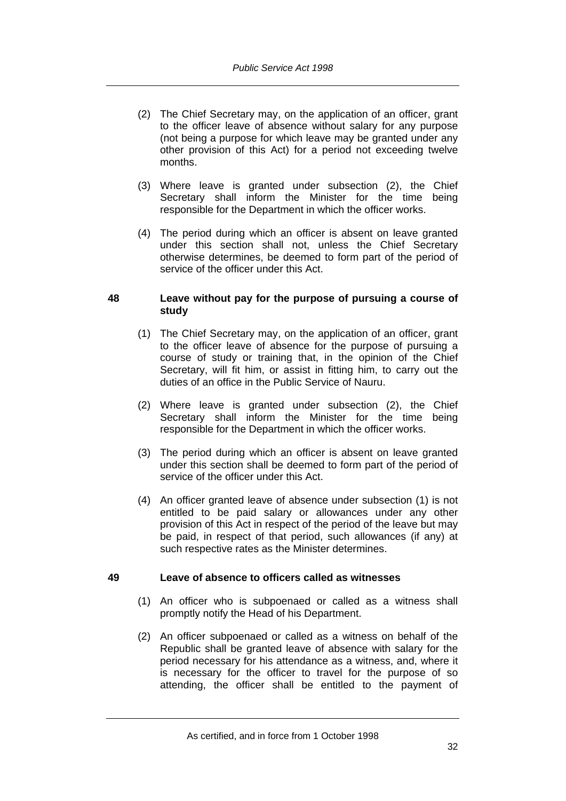- (2) The Chief Secretary may, on the application of an officer, grant to the officer leave of absence without salary for any purpose (not being a purpose for which leave may be granted under any other provision of this Act) for a period not exceeding twelve months.
- (3) Where leave is granted under subsection (2), the Chief Secretary shall inform the Minister for the time being responsible for the Department in which the officer works.
- (4) The period during which an officer is absent on leave granted under this section shall not, unless the Chief Secretary otherwise determines, be deemed to form part of the period of service of the officer under this Act.

## **48 Leave without pay for the purpose of pursuing a course of study**

- (1) The Chief Secretary may, on the application of an officer, grant to the officer leave of absence for the purpose of pursuing a course of study or training that, in the opinion of the Chief Secretary, will fit him, or assist in fitting him, to carry out the duties of an office in the Public Service of Nauru.
- (2) Where leave is granted under subsection (2), the Chief Secretary shall inform the Minister for the time being responsible for the Department in which the officer works.
- (3) The period during which an officer is absent on leave granted under this section shall be deemed to form part of the period of service of the officer under this Act.
- (4) An officer granted leave of absence under subsection (1) is not entitled to be paid salary or allowances under any other provision of this Act in respect of the period of the leave but may be paid, in respect of that period, such allowances (if any) at such respective rates as the Minister determines.

# **49 Leave of absence to officers called as witnesses**

- (1) An officer who is subpoenaed or called as a witness shall promptly notify the Head of his Department.
- (2) An officer subpoenaed or called as a witness on behalf of the Republic shall be granted leave of absence with salary for the period necessary for his attendance as a witness, and, where it is necessary for the officer to travel for the purpose of so attending, the officer shall be entitled to the payment of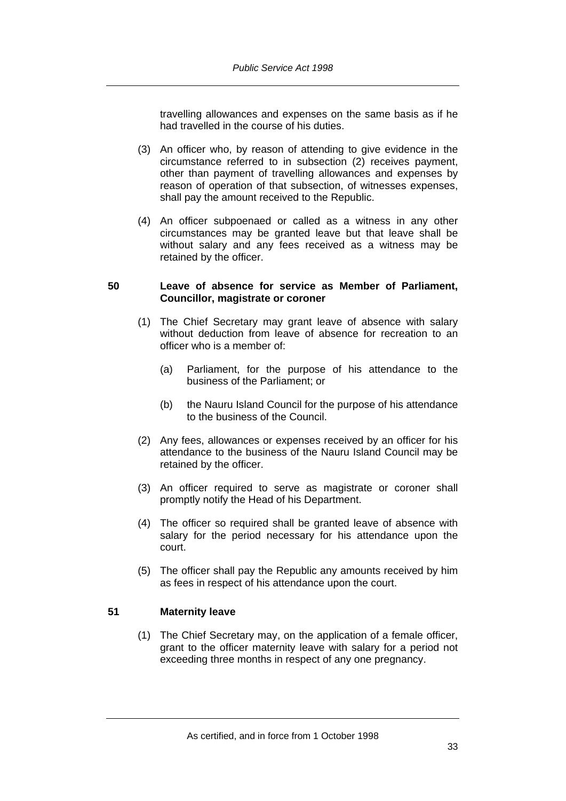travelling allowances and expenses on the same basis as if he had travelled in the course of his duties.

- (3) An officer who, by reason of attending to give evidence in the circumstance referred to in subsection (2) receives payment, other than payment of travelling allowances and expenses by reason of operation of that subsection, of witnesses expenses, shall pay the amount received to the Republic.
- (4) An officer subpoenaed or called as a witness in any other circumstances may be granted leave but that leave shall be without salary and any fees received as a witness may be retained by the officer.

#### **50 Leave of absence for service as Member of Parliament, Councillor, magistrate or coroner**

- (1) The Chief Secretary may grant leave of absence with salary without deduction from leave of absence for recreation to an officer who is a member of:
	- (a) Parliament, for the purpose of his attendance to the business of the Parliament; or
	- (b) the Nauru Island Council for the purpose of his attendance to the business of the Council.
- (2) Any fees, allowances or expenses received by an officer for his attendance to the business of the Nauru Island Council may be retained by the officer.
- (3) An officer required to serve as magistrate or coroner shall promptly notify the Head of his Department.
- (4) The officer so required shall be granted leave of absence with salary for the period necessary for his attendance upon the court.
- (5) The officer shall pay the Republic any amounts received by him as fees in respect of his attendance upon the court.

# **51 Maternity leave**

 (1) The Chief Secretary may, on the application of a female officer, grant to the officer maternity leave with salary for a period not exceeding three months in respect of any one pregnancy.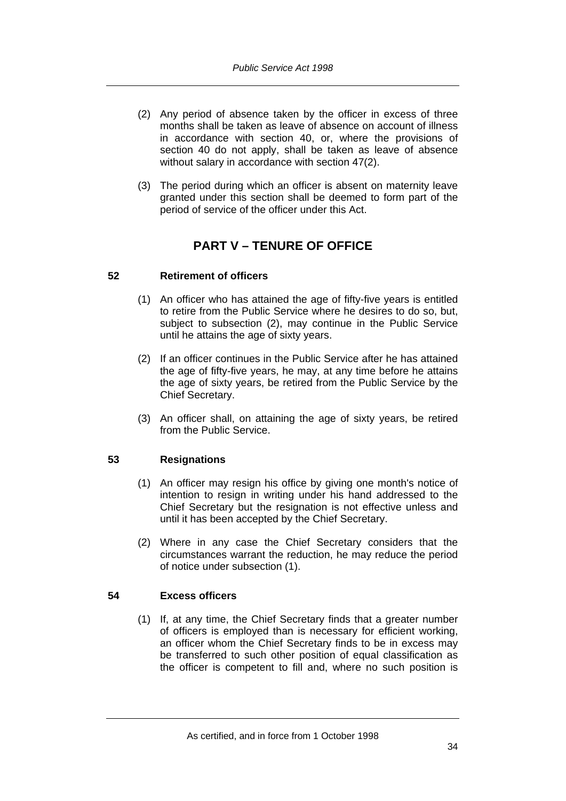- (2) Any period of absence taken by the officer in excess of three months shall be taken as leave of absence on account of illness in accordance with section 40, or, where the provisions of section 40 do not apply, shall be taken as leave of absence without salary in accordance with section 47(2).
- (3) The period during which an officer is absent on maternity leave granted under this section shall be deemed to form part of the period of service of the officer under this Act.

# **PART V – TENURE OF OFFICE**

# **52 Retirement of officers**

- (1) An officer who has attained the age of fifty-five years is entitled to retire from the Public Service where he desires to do so, but, subject to subsection (2), may continue in the Public Service until he attains the age of sixty years.
- (2) If an officer continues in the Public Service after he has attained the age of fifty-five years, he may, at any time before he attains the age of sixty years, be retired from the Public Service by the Chief Secretary.
- (3) An officer shall, on attaining the age of sixty years, be retired from the Public Service.

# **53 Resignations**

- (1) An officer may resign his office by giving one month's notice of intention to resign in writing under his hand addressed to the Chief Secretary but the resignation is not effective unless and until it has been accepted by the Chief Secretary.
- (2) Where in any case the Chief Secretary considers that the circumstances warrant the reduction, he may reduce the period of notice under subsection (1).

# **54 Excess officers**

 (1) If, at any time, the Chief Secretary finds that a greater number of officers is employed than is necessary for efficient working, an officer whom the Chief Secretary finds to be in excess may be transferred to such other position of equal classification as the officer is competent to fill and, where no such position is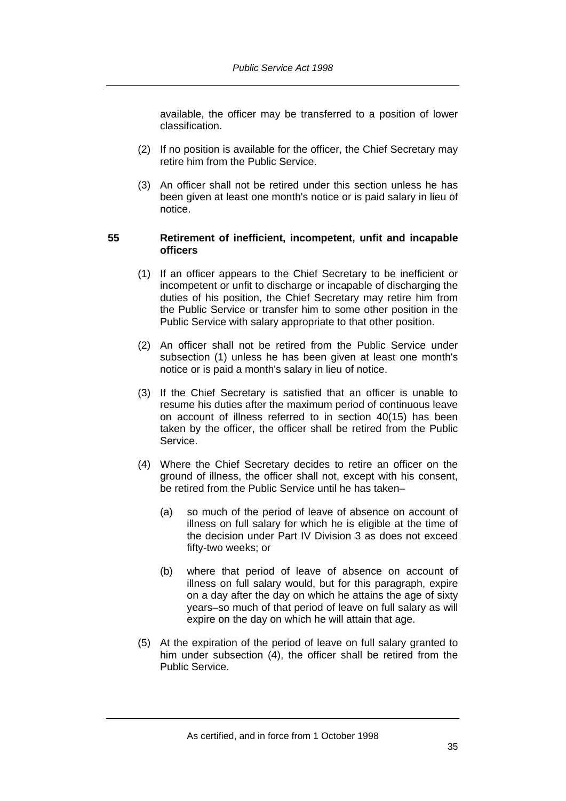available, the officer may be transferred to a position of lower classification.

- (2) If no position is available for the officer, the Chief Secretary may retire him from the Public Service.
- (3) An officer shall not be retired under this section unless he has been given at least one month's notice or is paid salary in lieu of notice.

## **55 Retirement of inefficient, incompetent, unfit and incapable officers**

- (1) If an officer appears to the Chief Secretary to be inefficient or incompetent or unfit to discharge or incapable of discharging the duties of his position, the Chief Secretary may retire him from the Public Service or transfer him to some other position in the Public Service with salary appropriate to that other position.
- (2) An officer shall not be retired from the Public Service under subsection (1) unless he has been given at least one month's notice or is paid a month's salary in lieu of notice.
- (3) If the Chief Secretary is satisfied that an officer is unable to resume his duties after the maximum period of continuous leave on account of illness referred to in section 40(15) has been taken by the officer, the officer shall be retired from the Public Service.
- (4) Where the Chief Secretary decides to retire an officer on the ground of illness, the officer shall not, except with his consent, be retired from the Public Service until he has taken–
	- (a) so much of the period of leave of absence on account of illness on full salary for which he is eligible at the time of the decision under Part IV Division 3 as does not exceed fifty-two weeks; or
	- (b) where that period of leave of absence on account of illness on full salary would, but for this paragraph, expire on a day after the day on which he attains the age of sixty years–so much of that period of leave on full salary as will expire on the day on which he will attain that age.
- (5) At the expiration of the period of leave on full salary granted to him under subsection (4), the officer shall be retired from the Public Service.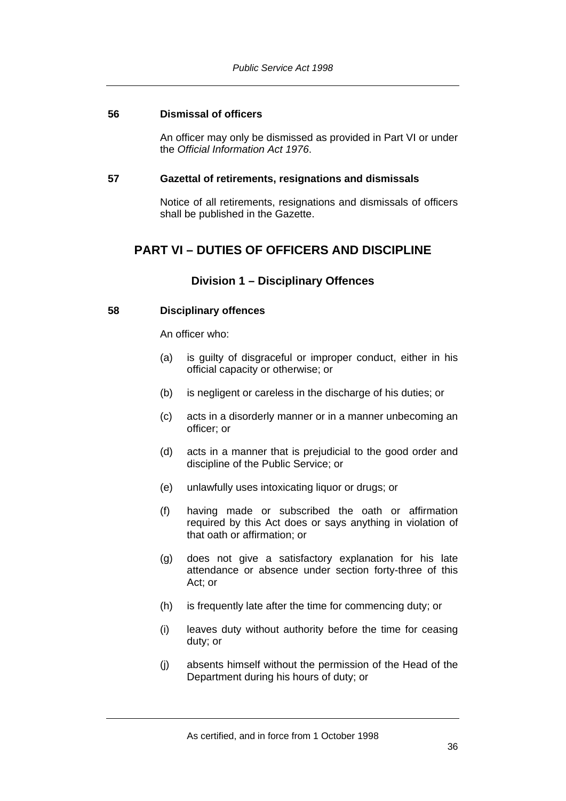# **56 Dismissal of officers**

An officer may only be dismissed as provided in Part VI or under the *Official Information Act 1976*.

#### **57 Gazettal of retirements, resignations and dismissals**

Notice of all retirements, resignations and dismissals of officers shall be published in the Gazette.

# **PART VI – DUTIES OF OFFICERS AND DISCIPLINE**

# **Division 1 – Disciplinary Offences**

# **58 Disciplinary offences**

An officer who:

- (a) is guilty of disgraceful or improper conduct, either in his official capacity or otherwise; or
- (b) is negligent or careless in the discharge of his duties; or
- (c) acts in a disorderly manner or in a manner unbecoming an officer; or
- (d) acts in a manner that is prejudicial to the good order and discipline of the Public Service; or
- (e) unlawfully uses intoxicating liquor or drugs; or
- (f) having made or subscribed the oath or affirmation required by this Act does or says anything in violation of that oath or affirmation; or
- (g) does not give a satisfactory explanation for his late attendance or absence under section forty-three of this Act; or
- (h) is frequently late after the time for commencing duty; or
- (i) leaves duty without authority before the time for ceasing duty; or
- (j) absents himself without the permission of the Head of the Department during his hours of duty; or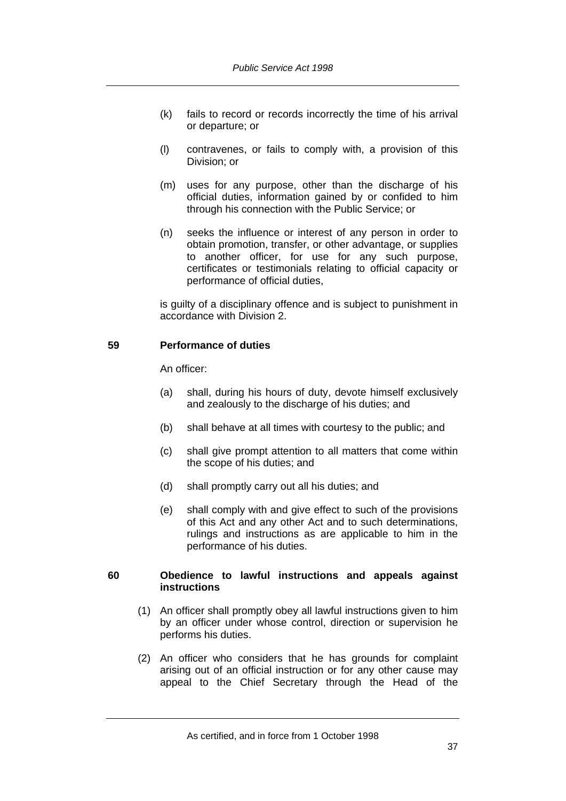- (k) fails to record or records incorrectly the time of his arrival or departure; or
- (l) contravenes, or fails to comply with, a provision of this Division; or
- (m) uses for any purpose, other than the discharge of his official duties, information gained by or confided to him through his connection with the Public Service; or
- (n) seeks the influence or interest of any person in order to obtain promotion, transfer, or other advantage, or supplies to another officer, for use for any such purpose, certificates or testimonials relating to official capacity or performance of official duties,

is guilty of a disciplinary offence and is subject to punishment in accordance with Division 2.

# **59 Performance of duties**

An officer:

- (a) shall, during his hours of duty, devote himself exclusively and zealously to the discharge of his duties; and
- (b) shall behave at all times with courtesy to the public; and
- (c) shall give prompt attention to all matters that come within the scope of his duties; and
- (d) shall promptly carry out all his duties; and
- (e) shall comply with and give effect to such of the provisions of this Act and any other Act and to such determinations, rulings and instructions as are applicable to him in the performance of his duties.

#### **60 Obedience to lawful instructions and appeals against instructions**

- (1) An officer shall promptly obey all lawful instructions given to him by an officer under whose control, direction or supervision he performs his duties.
- (2) An officer who considers that he has grounds for complaint arising out of an official instruction or for any other cause may appeal to the Chief Secretary through the Head of the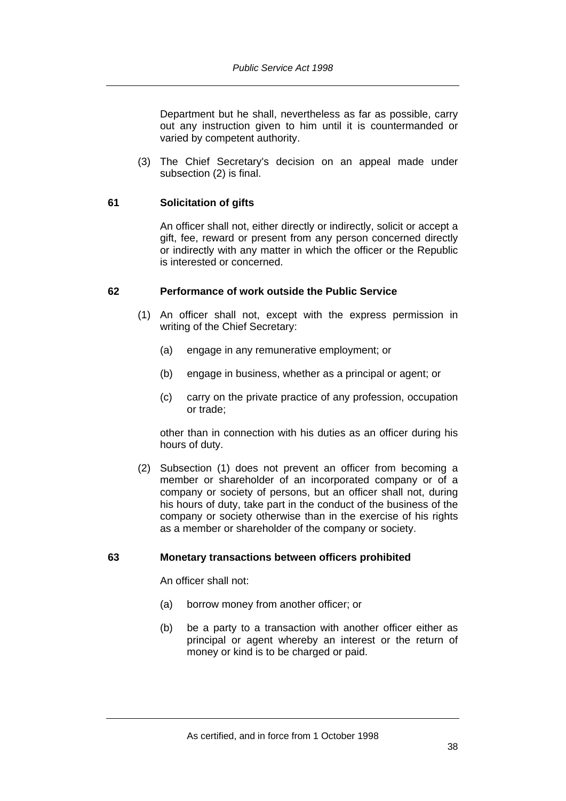Department but he shall, nevertheless as far as possible, carry out any instruction given to him until it is countermanded or varied by competent authority.

 (3) The Chief Secretary's decision on an appeal made under subsection (2) is final.

## **61 Solicitation of gifts**

An officer shall not, either directly or indirectly, solicit or accept a gift, fee, reward or present from any person concerned directly or indirectly with any matter in which the officer or the Republic is interested or concerned.

## **62 Performance of work outside the Public Service**

- (1) An officer shall not, except with the express permission in writing of the Chief Secretary:
	- (a) engage in any remunerative employment; or
	- (b) engage in business, whether as a principal or agent; or
	- (c) carry on the private practice of any profession, occupation or trade;

other than in connection with his duties as an officer during his hours of duty.

 (2) Subsection (1) does not prevent an officer from becoming a member or shareholder of an incorporated company or of a company or society of persons, but an officer shall not, during his hours of duty, take part in the conduct of the business of the company or society otherwise than in the exercise of his rights as a member or shareholder of the company or society.

# **63 Monetary transactions between officers prohibited**

An officer shall not:

- (a) borrow money from another officer; or
- (b) be a party to a transaction with another officer either as principal or agent whereby an interest or the return of money or kind is to be charged or paid.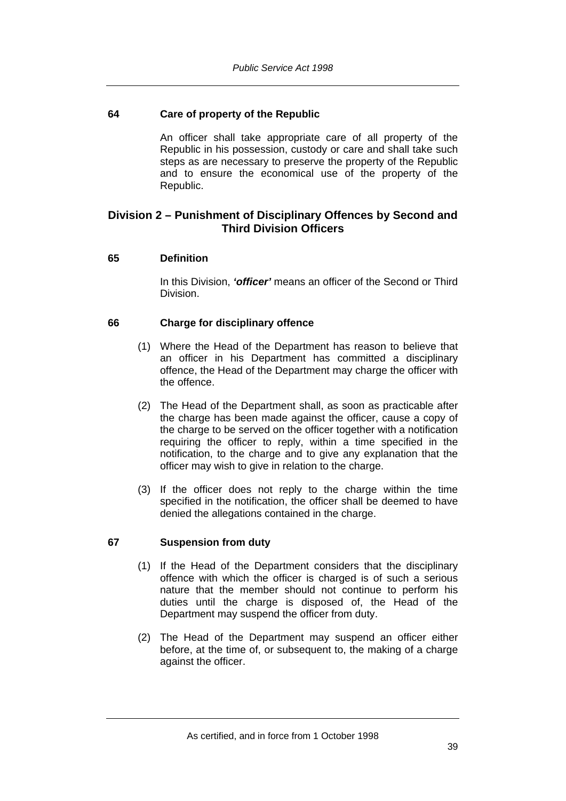# **64 Care of property of the Republic**

An officer shall take appropriate care of all property of the Republic in his possession, custody or care and shall take such steps as are necessary to preserve the property of the Republic and to ensure the economical use of the property of the Republic.

# **Division 2 – Punishment of Disciplinary Offences by Second and Third Division Officers**

# **65 Definition**

In this Division, *'officer'* means an officer of the Second or Third Division.

# **66 Charge for disciplinary offence**

- (1) Where the Head of the Department has reason to believe that an officer in his Department has committed a disciplinary offence, the Head of the Department may charge the officer with the offence.
- (2) The Head of the Department shall, as soon as practicable after the charge has been made against the officer, cause a copy of the charge to be served on the officer together with a notification requiring the officer to reply, within a time specified in the notification, to the charge and to give any explanation that the officer may wish to give in relation to the charge.
- (3) If the officer does not reply to the charge within the time specified in the notification, the officer shall be deemed to have denied the allegations contained in the charge.

# **67 Suspension from duty**

- (1) If the Head of the Department considers that the disciplinary offence with which the officer is charged is of such a serious nature that the member should not continue to perform his duties until the charge is disposed of, the Head of the Department may suspend the officer from duty.
- (2) The Head of the Department may suspend an officer either before, at the time of, or subsequent to, the making of a charge against the officer.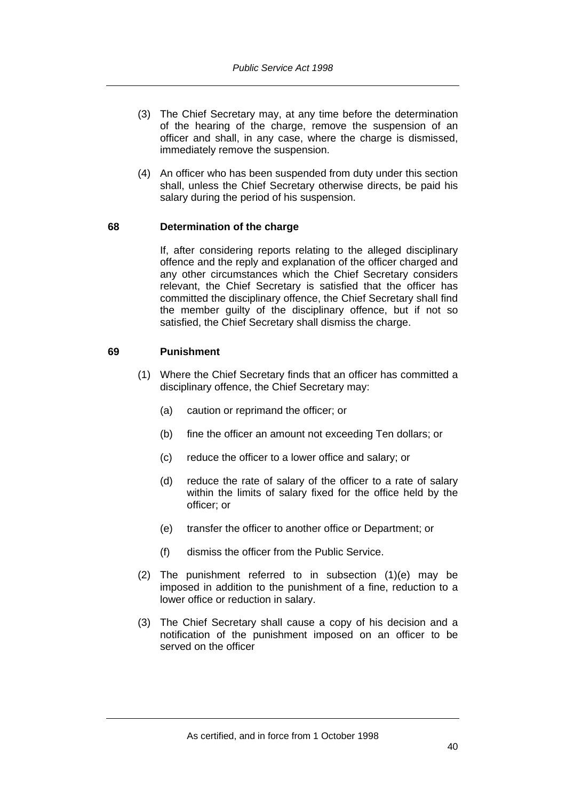- (3) The Chief Secretary may, at any time before the determination of the hearing of the charge, remove the suspension of an officer and shall, in any case, where the charge is dismissed, immediately remove the suspension.
- (4) An officer who has been suspended from duty under this section shall, unless the Chief Secretary otherwise directs, be paid his salary during the period of his suspension.

# **68 Determination of the charge**

If, after considering reports relating to the alleged disciplinary offence and the reply and explanation of the officer charged and any other circumstances which the Chief Secretary considers relevant, the Chief Secretary is satisfied that the officer has committed the disciplinary offence, the Chief Secretary shall find the member guilty of the disciplinary offence, but if not so satisfied, the Chief Secretary shall dismiss the charge.

## **69 Punishment**

- (1) Where the Chief Secretary finds that an officer has committed a disciplinary offence, the Chief Secretary may:
	- (a) caution or reprimand the officer; or
	- (b) fine the officer an amount not exceeding Ten dollars; or
	- (c) reduce the officer to a lower office and salary; or
	- (d) reduce the rate of salary of the officer to a rate of salary within the limits of salary fixed for the office held by the officer; or
	- (e) transfer the officer to another office or Department; or
	- (f) dismiss the officer from the Public Service.
- (2) The punishment referred to in subsection (1)(e) may be imposed in addition to the punishment of a fine, reduction to a lower office or reduction in salary.
- (3) The Chief Secretary shall cause a copy of his decision and a notification of the punishment imposed on an officer to be served on the officer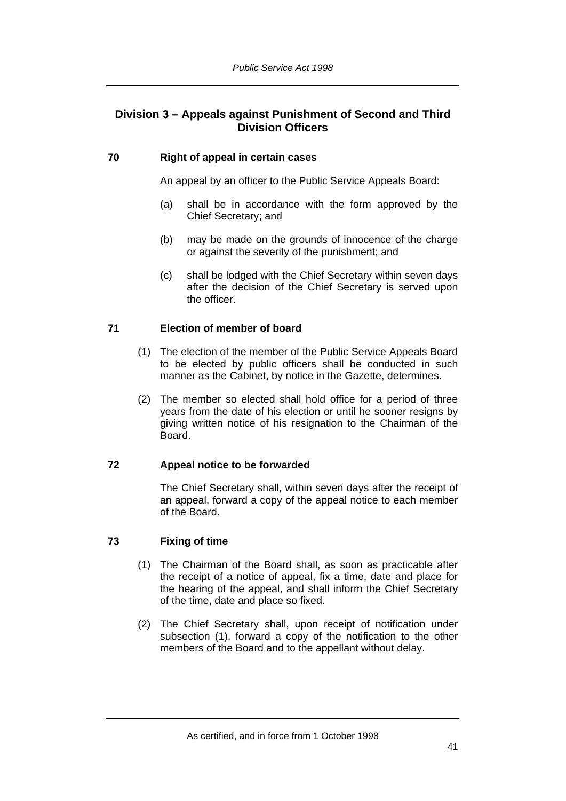# **Division 3 – Appeals against Punishment of Second and Third Division Officers**

# **70 Right of appeal in certain cases**

An appeal by an officer to the Public Service Appeals Board:

- (a) shall be in accordance with the form approved by the Chief Secretary; and
- (b) may be made on the grounds of innocence of the charge or against the severity of the punishment; and
- (c) shall be lodged with the Chief Secretary within seven days after the decision of the Chief Secretary is served upon the officer.

# **71 Election of member of board**

- (1) The election of the member of the Public Service Appeals Board to be elected by public officers shall be conducted in such manner as the Cabinet, by notice in the Gazette, determines.
- (2) The member so elected shall hold office for a period of three years from the date of his election or until he sooner resigns by giving written notice of his resignation to the Chairman of the Board.

# **72 Appeal notice to be forwarded**

The Chief Secretary shall, within seven days after the receipt of an appeal, forward a copy of the appeal notice to each member of the Board.

# **73 Fixing of time**

- (1) The Chairman of the Board shall, as soon as practicable after the receipt of a notice of appeal, fix a time, date and place for the hearing of the appeal, and shall inform the Chief Secretary of the time, date and place so fixed.
- (2) The Chief Secretary shall, upon receipt of notification under subsection (1), forward a copy of the notification to the other members of the Board and to the appellant without delay.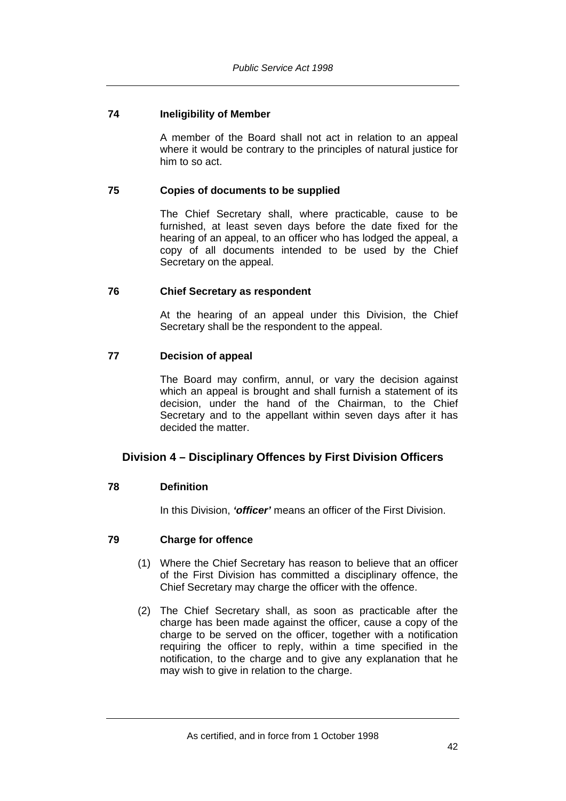# **74 Ineligibility of Member**

A member of the Board shall not act in relation to an appeal where it would be contrary to the principles of natural justice for him to so act.

#### **75 Copies of documents to be supplied**

The Chief Secretary shall, where practicable, cause to be furnished, at least seven days before the date fixed for the hearing of an appeal, to an officer who has lodged the appeal, a copy of all documents intended to be used by the Chief Secretary on the appeal.

#### **76 Chief Secretary as respondent**

At the hearing of an appeal under this Division, the Chief Secretary shall be the respondent to the appeal.

## **77 Decision of appeal**

The Board may confirm, annul, or vary the decision against which an appeal is brought and shall furnish a statement of its decision, under the hand of the Chairman, to the Chief Secretary and to the appellant within seven days after it has decided the matter.

# **Division 4 – Disciplinary Offences by First Division Officers**

# **78 Definition**

In this Division, *'officer'* means an officer of the First Division.

#### **79 Charge for offence**

- (1) Where the Chief Secretary has reason to believe that an officer of the First Division has committed a disciplinary offence, the Chief Secretary may charge the officer with the offence.
- (2) The Chief Secretary shall, as soon as practicable after the charge has been made against the officer, cause a copy of the charge to be served on the officer, together with a notification requiring the officer to reply, within a time specified in the notification, to the charge and to give any explanation that he may wish to give in relation to the charge.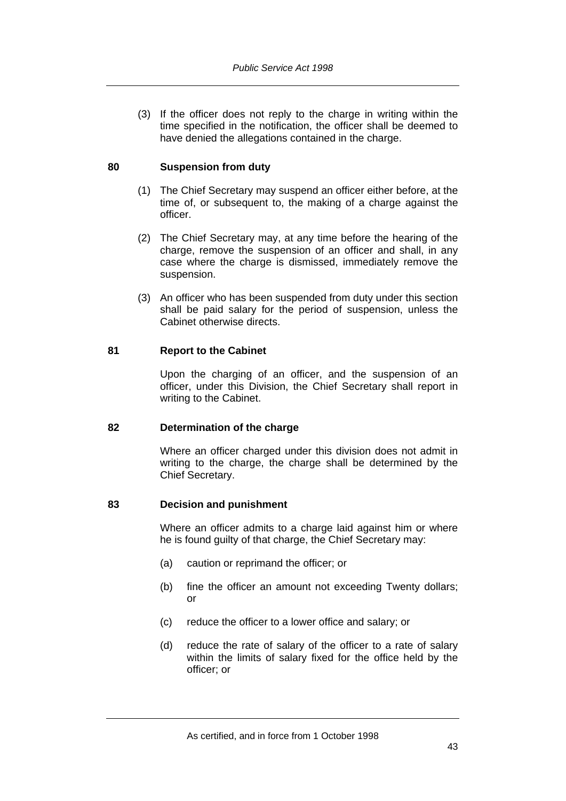(3) If the officer does not reply to the charge in writing within the time specified in the notification, the officer shall be deemed to have denied the allegations contained in the charge.

## **80 Suspension from duty**

- (1) The Chief Secretary may suspend an officer either before, at the time of, or subsequent to, the making of a charge against the officer.
- (2) The Chief Secretary may, at any time before the hearing of the charge, remove the suspension of an officer and shall, in any case where the charge is dismissed, immediately remove the suspension.
- (3) An officer who has been suspended from duty under this section shall be paid salary for the period of suspension, unless the Cabinet otherwise directs.

## **81 Report to the Cabinet**

Upon the charging of an officer, and the suspension of an officer, under this Division, the Chief Secretary shall report in writing to the Cabinet.

#### **82 Determination of the charge**

Where an officer charged under this division does not admit in writing to the charge, the charge shall be determined by the Chief Secretary.

#### **83 Decision and punishment**

Where an officer admits to a charge laid against him or where he is found guilty of that charge, the Chief Secretary may:

- (a) caution or reprimand the officer; or
- (b) fine the officer an amount not exceeding Twenty dollars; or
- (c) reduce the officer to a lower office and salary; or
- (d) reduce the rate of salary of the officer to a rate of salary within the limits of salary fixed for the office held by the officer; or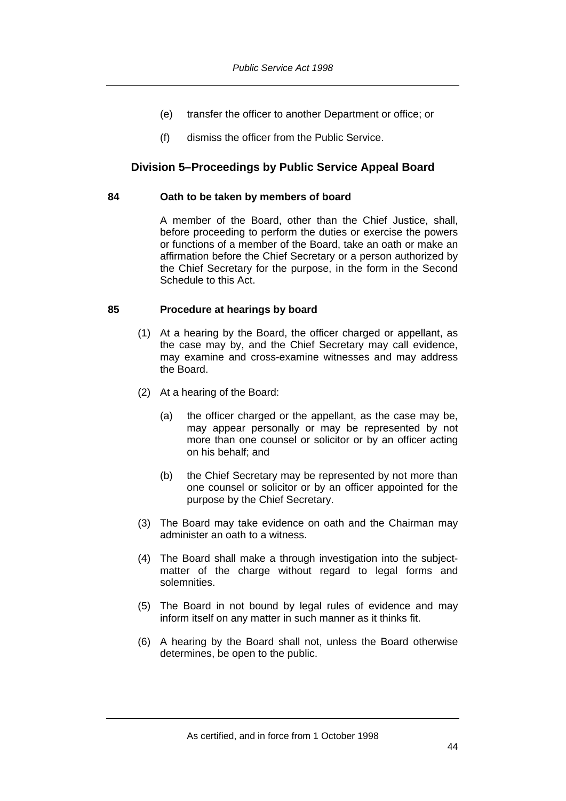- (e) transfer the officer to another Department or office; or
- (f) dismiss the officer from the Public Service.

# **Division 5–Proceedings by Public Service Appeal Board**

### **84 Oath to be taken by members of board**

A member of the Board, other than the Chief Justice, shall, before proceeding to perform the duties or exercise the powers or functions of a member of the Board, take an oath or make an affirmation before the Chief Secretary or a person authorized by the Chief Secretary for the purpose, in the form in the Second Schedule to this Act.

# **85 Procedure at hearings by board**

- (1) At a hearing by the Board, the officer charged or appellant, as the case may by, and the Chief Secretary may call evidence, may examine and cross-examine witnesses and may address the Board.
- (2) At a hearing of the Board:
	- (a) the officer charged or the appellant, as the case may be, may appear personally or may be represented by not more than one counsel or solicitor or by an officer acting on his behalf; and
	- (b) the Chief Secretary may be represented by not more than one counsel or solicitor or by an officer appointed for the purpose by the Chief Secretary.
- (3) The Board may take evidence on oath and the Chairman may administer an oath to a witness.
- (4) The Board shall make a through investigation into the subjectmatter of the charge without regard to legal forms and solemnities.
- (5) The Board in not bound by legal rules of evidence and may inform itself on any matter in such manner as it thinks fit.
- (6) A hearing by the Board shall not, unless the Board otherwise determines, be open to the public.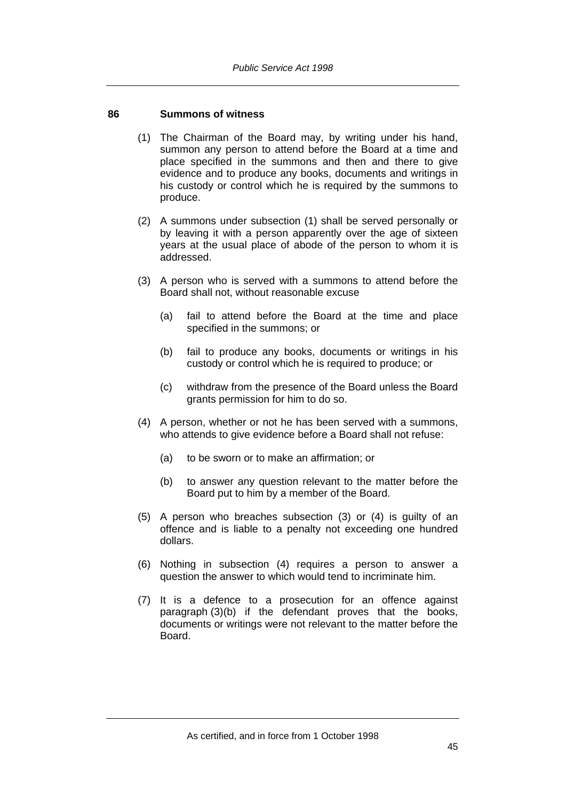## **86 Summons of witness**

- (1) The Chairman of the Board may, by writing under his hand, summon any person to attend before the Board at a time and place specified in the summons and then and there to give evidence and to produce any books, documents and writings in his custody or control which he is required by the summons to produce.
- (2) A summons under subsection (1) shall be served personally or by leaving it with a person apparently over the age of sixteen years at the usual place of abode of the person to whom it is addressed.
- (3) A person who is served with a summons to attend before the Board shall not, without reasonable excuse
	- (a) fail to attend before the Board at the time and place specified in the summons; or
	- (b) fail to produce any books, documents or writings in his custody or control which he is required to produce; or
	- (c) withdraw from the presence of the Board unless the Board grants permission for him to do so.
- (4) A person, whether or not he has been served with a summons, who attends to give evidence before a Board shall not refuse:
	- (a) to be sworn or to make an affirmation; or
	- (b) to answer any question relevant to the matter before the Board put to him by a member of the Board.
- (5) A person who breaches subsection (3) or (4) is guilty of an offence and is liable to a penalty not exceeding one hundred dollars.
- (6) Nothing in subsection (4) requires a person to answer a question the answer to which would tend to incriminate him.
- (7) It is a defence to a prosecution for an offence against paragraph (3)(b) if the defendant proves that the books, documents or writings were not relevant to the matter before the Board.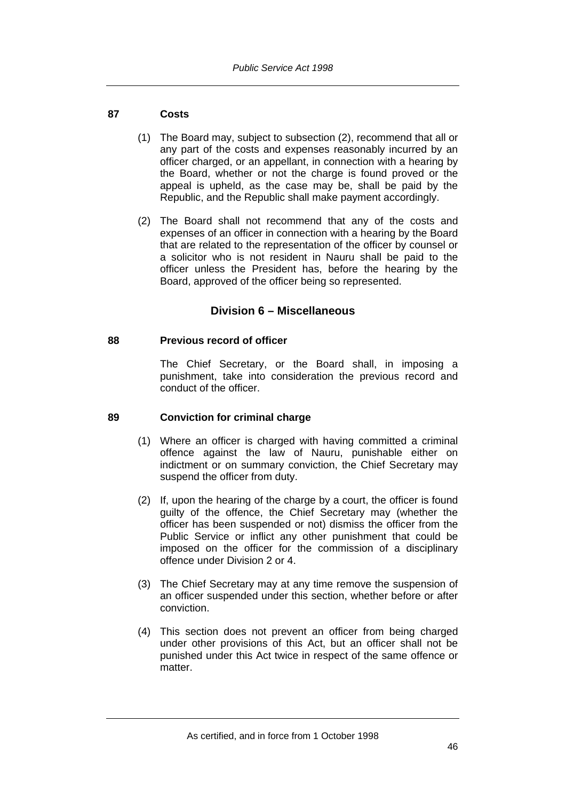# **87 Costs**

- (1) The Board may, subject to subsection (2), recommend that all or any part of the costs and expenses reasonably incurred by an officer charged, or an appellant, in connection with a hearing by the Board, whether or not the charge is found proved or the appeal is upheld, as the case may be, shall be paid by the Republic, and the Republic shall make payment accordingly.
- (2) The Board shall not recommend that any of the costs and expenses of an officer in connection with a hearing by the Board that are related to the representation of the officer by counsel or a solicitor who is not resident in Nauru shall be paid to the officer unless the President has, before the hearing by the Board, approved of the officer being so represented.

# **Division 6 – Miscellaneous**

# **88 Previous record of officer**

The Chief Secretary, or the Board shall, in imposing a punishment, take into consideration the previous record and conduct of the officer.

# **89 Conviction for criminal charge**

- (1) Where an officer is charged with having committed a criminal offence against the law of Nauru, punishable either on indictment or on summary conviction, the Chief Secretary may suspend the officer from duty.
- (2) If, upon the hearing of the charge by a court, the officer is found guilty of the offence, the Chief Secretary may (whether the officer has been suspended or not) dismiss the officer from the Public Service or inflict any other punishment that could be imposed on the officer for the commission of a disciplinary offence under Division 2 or 4.
- (3) The Chief Secretary may at any time remove the suspension of an officer suspended under this section, whether before or after conviction.
- (4) This section does not prevent an officer from being charged under other provisions of this Act, but an officer shall not be punished under this Act twice in respect of the same offence or matter.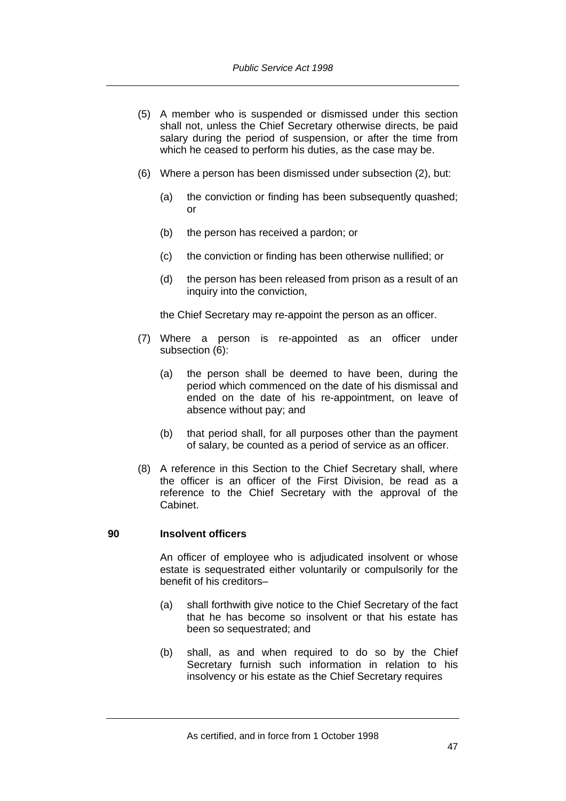- (5) A member who is suspended or dismissed under this section shall not, unless the Chief Secretary otherwise directs, be paid salary during the period of suspension, or after the time from which he ceased to perform his duties, as the case may be.
- (6) Where a person has been dismissed under subsection (2), but:
	- (a) the conviction or finding has been subsequently quashed; or
	- (b) the person has received a pardon; or
	- (c) the conviction or finding has been otherwise nullified; or
	- (d) the person has been released from prison as a result of an inquiry into the conviction,

the Chief Secretary may re-appoint the person as an officer.

- (7) Where a person is re-appointed as an officer under subsection (6):
	- (a) the person shall be deemed to have been, during the period which commenced on the date of his dismissal and ended on the date of his re-appointment, on leave of absence without pay; and
	- (b) that period shall, for all purposes other than the payment of salary, be counted as a period of service as an officer.
- (8) A reference in this Section to the Chief Secretary shall, where the officer is an officer of the First Division, be read as a reference to the Chief Secretary with the approval of the Cabinet.

# **90 Insolvent officers**

An officer of employee who is adjudicated insolvent or whose estate is sequestrated either voluntarily or compulsorily for the benefit of his creditors–

- (a) shall forthwith give notice to the Chief Secretary of the fact that he has become so insolvent or that his estate has been so sequestrated; and
- (b) shall, as and when required to do so by the Chief Secretary furnish such information in relation to his insolvency or his estate as the Chief Secretary requires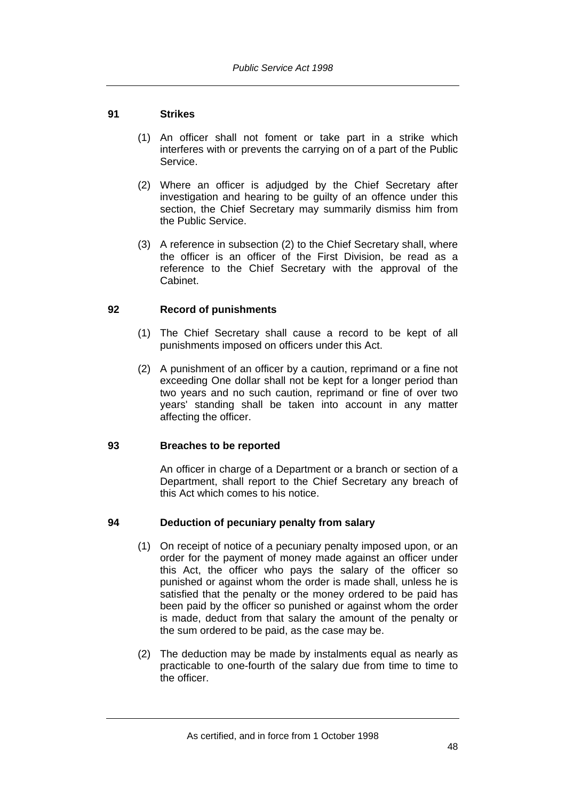# **91 Strikes**

- (1) An officer shall not foment or take part in a strike which interferes with or prevents the carrying on of a part of the Public Service.
- (2) Where an officer is adjudged by the Chief Secretary after investigation and hearing to be guilty of an offence under this section, the Chief Secretary may summarily dismiss him from the Public Service.
- (3) A reference in subsection (2) to the Chief Secretary shall, where the officer is an officer of the First Division, be read as a reference to the Chief Secretary with the approval of the Cabinet.

# **92 Record of punishments**

- (1) The Chief Secretary shall cause a record to be kept of all punishments imposed on officers under this Act.
- (2) A punishment of an officer by a caution, reprimand or a fine not exceeding One dollar shall not be kept for a longer period than two years and no such caution, reprimand or fine of over two years' standing shall be taken into account in any matter affecting the officer.

# **93 Breaches to be reported**

An officer in charge of a Department or a branch or section of a Department, shall report to the Chief Secretary any breach of this Act which comes to his notice.

# **94 Deduction of pecuniary penalty from salary**

- (1) On receipt of notice of a pecuniary penalty imposed upon, or an order for the payment of money made against an officer under this Act, the officer who pays the salary of the officer so punished or against whom the order is made shall, unless he is satisfied that the penalty or the money ordered to be paid has been paid by the officer so punished or against whom the order is made, deduct from that salary the amount of the penalty or the sum ordered to be paid, as the case may be.
- (2) The deduction may be made by instalments equal as nearly as practicable to one-fourth of the salary due from time to time to the officer.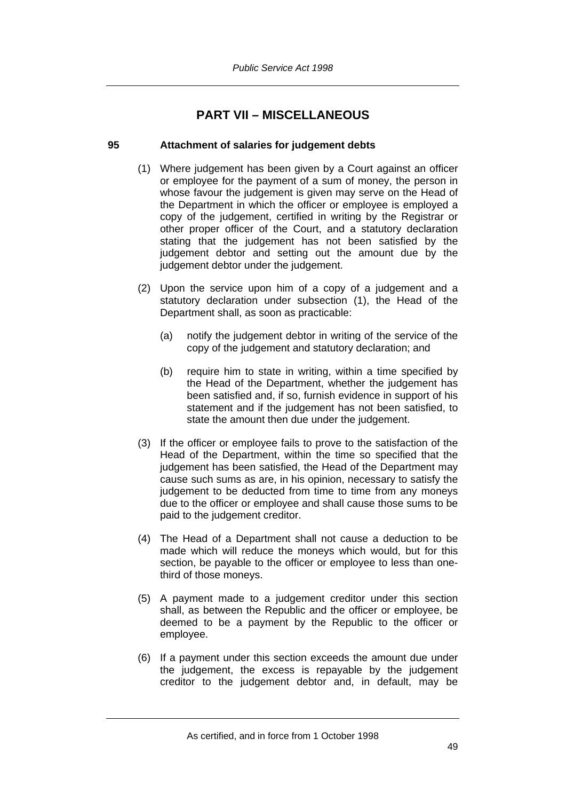# **PART VII – MISCELLANEOUS**

# **95 Attachment of salaries for judgement debts**

- (1) Where judgement has been given by a Court against an officer or employee for the payment of a sum of money, the person in whose favour the judgement is given may serve on the Head of the Department in which the officer or employee is employed a copy of the judgement, certified in writing by the Registrar or other proper officer of the Court, and a statutory declaration stating that the judgement has not been satisfied by the judgement debtor and setting out the amount due by the judgement debtor under the judgement.
- (2) Upon the service upon him of a copy of a judgement and a statutory declaration under subsection (1), the Head of the Department shall, as soon as practicable:
	- (a) notify the judgement debtor in writing of the service of the copy of the judgement and statutory declaration; and
	- (b) require him to state in writing, within a time specified by the Head of the Department, whether the judgement has been satisfied and, if so, furnish evidence in support of his statement and if the judgement has not been satisfied, to state the amount then due under the judgement.
- (3) If the officer or employee fails to prove to the satisfaction of the Head of the Department, within the time so specified that the judgement has been satisfied, the Head of the Department may cause such sums as are, in his opinion, necessary to satisfy the judgement to be deducted from time to time from any moneys due to the officer or employee and shall cause those sums to be paid to the judgement creditor.
- (4) The Head of a Department shall not cause a deduction to be made which will reduce the moneys which would, but for this section, be payable to the officer or employee to less than onethird of those moneys.
- (5) A payment made to a judgement creditor under this section shall, as between the Republic and the officer or employee, be deemed to be a payment by the Republic to the officer or employee.
- (6) If a payment under this section exceeds the amount due under the judgement, the excess is repayable by the judgement creditor to the judgement debtor and, in default, may be

As certified, and in force from 1 October 1998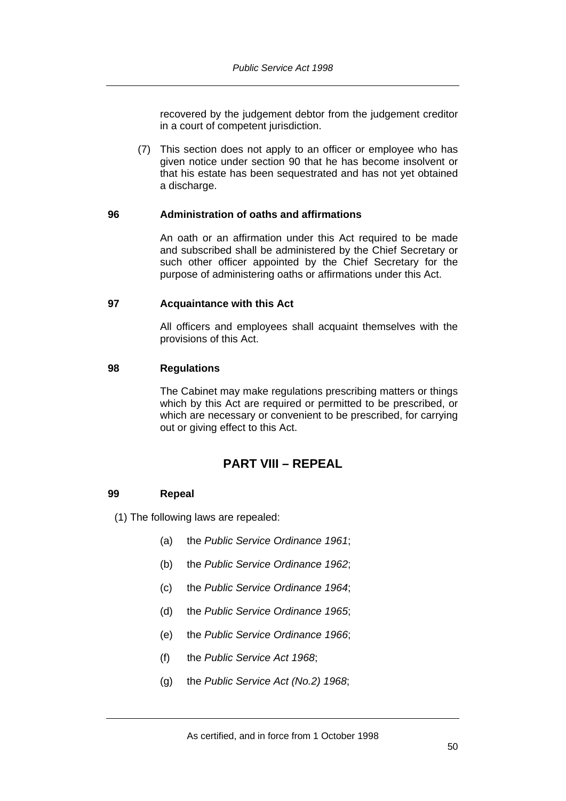recovered by the judgement debtor from the judgement creditor in a court of competent jurisdiction.

 (7) This section does not apply to an officer or employee who has given notice under section 90 that he has become insolvent or that his estate has been sequestrated and has not yet obtained a discharge.

## **96 Administration of oaths and affirmations**

An oath or an affirmation under this Act required to be made and subscribed shall be administered by the Chief Secretary or such other officer appointed by the Chief Secretary for the purpose of administering oaths or affirmations under this Act.

## **97 Acquaintance with this Act**

All officers and employees shall acquaint themselves with the provisions of this Act.

## **98 Regulations**

The Cabinet may make regulations prescribing matters or things which by this Act are required or permitted to be prescribed, or which are necessary or convenient to be prescribed, for carrying out or giving effect to this Act.

# **PART VIII – REPEAL**

# **99 Repeal**

(1) The following laws are repealed:

- (a) the *Public Service Ordinance 1961*;
- (b) the *Public Service Ordinance 1962*;
- (c) the *Public Service Ordinance 1964*;
- (d) the *Public Service Ordinance 1965*;
- (e) the *Public Service Ordinance 1966*;
- (f) the *Public Service Act 1968*;
- (g) the *Public Service Act (No.2) 1968*;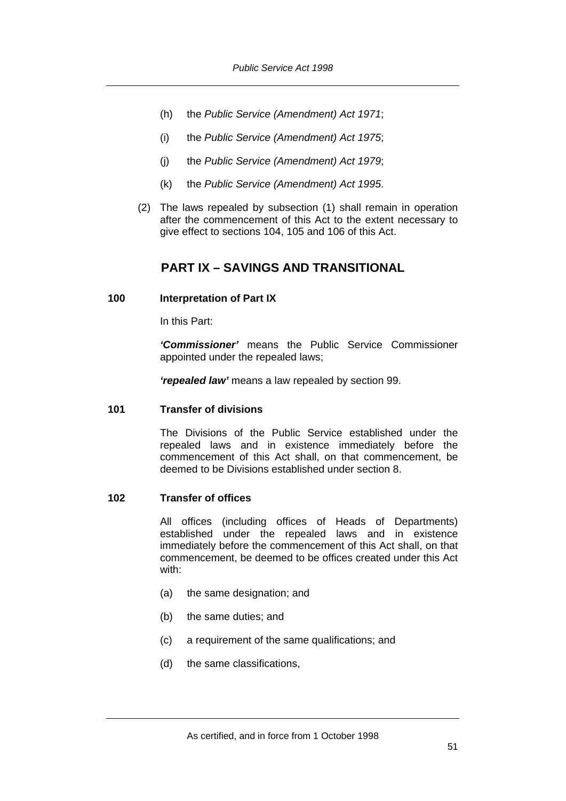- (h) the *Public Service (Amendment) Act 1971*;
- (i) the *Public Service (Amendment) Act 1975*;
- (j) the *Public Service (Amendment) Act 1979*;
- (k) the *Public Service (Amendment) Act 1995*.
- (2) The laws repealed by subsection (1) shall remain in operation after the commencement of this Act to the extent necessary to give effect to sections 104, 105 and 106 of this Act.

# **PART IX – SAVINGS AND TRANSITIONAL**

#### **100 Interpretation of Part IX**

In this Part:

*'Commissioner'* means the Public Service Commissioner appointed under the repealed laws;

*'repealed law'* means a law repealed by section 99.

#### **101 Transfer of divisions**

The Divisions of the Public Service established under the repealed laws and in existence immediately before the commencement of this Act shall, on that commencement, be deemed to be Divisions established under section 8.

## **102 Transfer of offices**

All offices (including offices of Heads of Departments) established under the repealed laws and in existence immediately before the commencement of this Act shall, on that commencement, be deemed to be offices created under this Act with:

- (a) the same designation; and
- (b) the same duties; and
- (c) a requirement of the same qualifications; and
- (d) the same classifications,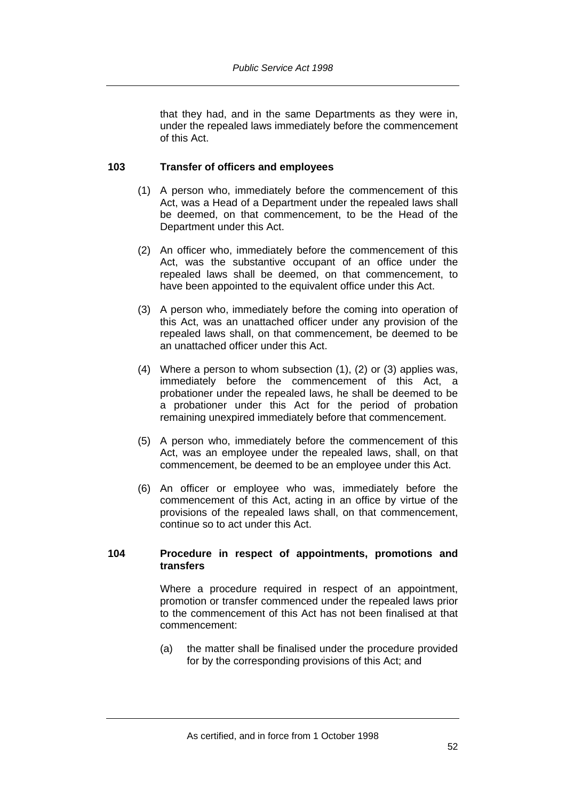that they had, and in the same Departments as they were in, under the repealed laws immediately before the commencement of this Act.

## **103 Transfer of officers and employees**

- (1) A person who, immediately before the commencement of this Act, was a Head of a Department under the repealed laws shall be deemed, on that commencement, to be the Head of the Department under this Act.
- (2) An officer who, immediately before the commencement of this Act, was the substantive occupant of an office under the repealed laws shall be deemed, on that commencement, to have been appointed to the equivalent office under this Act.
- (3) A person who, immediately before the coming into operation of this Act, was an unattached officer under any provision of the repealed laws shall, on that commencement, be deemed to be an unattached officer under this Act.
- (4) Where a person to whom subsection (1), (2) or (3) applies was, immediately before the commencement of this Act, a probationer under the repealed laws, he shall be deemed to be a probationer under this Act for the period of probation remaining unexpired immediately before that commencement.
- (5) A person who, immediately before the commencement of this Act, was an employee under the repealed laws, shall, on that commencement, be deemed to be an employee under this Act.
- (6) An officer or employee who was, immediately before the commencement of this Act, acting in an office by virtue of the provisions of the repealed laws shall, on that commencement, continue so to act under this Act.

#### **104 Procedure in respect of appointments, promotions and transfers**

Where a procedure required in respect of an appointment, promotion or transfer commenced under the repealed laws prior to the commencement of this Act has not been finalised at that commencement:

(a) the matter shall be finalised under the procedure provided for by the corresponding provisions of this Act; and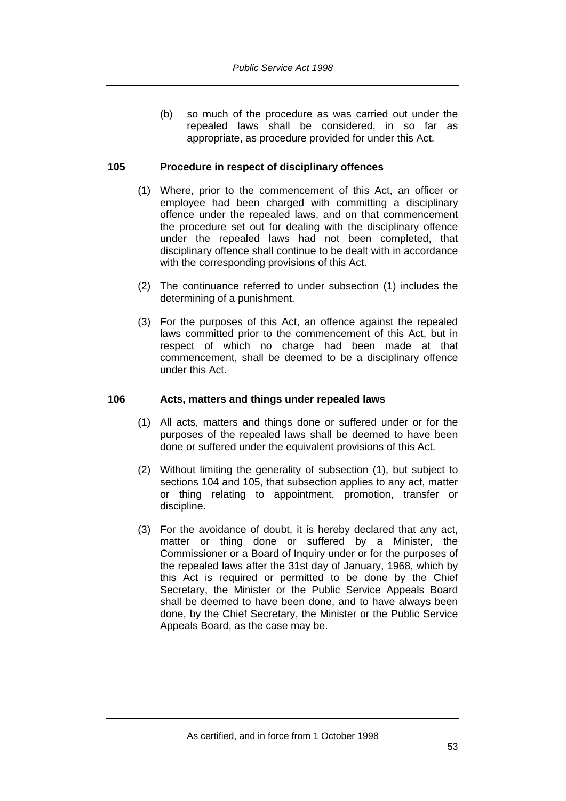(b) so much of the procedure as was carried out under the repealed laws shall be considered, in so far as appropriate, as procedure provided for under this Act.

# **105 Procedure in respect of disciplinary offences**

- (1) Where, prior to the commencement of this Act, an officer or employee had been charged with committing a disciplinary offence under the repealed laws, and on that commencement the procedure set out for dealing with the disciplinary offence under the repealed laws had not been completed, that disciplinary offence shall continue to be dealt with in accordance with the corresponding provisions of this Act.
- (2) The continuance referred to under subsection (1) includes the determining of a punishment.
- (3) For the purposes of this Act, an offence against the repealed laws committed prior to the commencement of this Act, but in respect of which no charge had been made at that commencement, shall be deemed to be a disciplinary offence under this Act.

# **106 Acts, matters and things under repealed laws**

- (1) All acts, matters and things done or suffered under or for the purposes of the repealed laws shall be deemed to have been done or suffered under the equivalent provisions of this Act.
- (2) Without limiting the generality of subsection (1), but subject to sections 104 and 105, that subsection applies to any act, matter or thing relating to appointment, promotion, transfer or discipline.
- (3) For the avoidance of doubt, it is hereby declared that any act, matter or thing done or suffered by a Minister, the Commissioner or a Board of Inquiry under or for the purposes of the repealed laws after the 31st day of January, 1968, which by this Act is required or permitted to be done by the Chief Secretary, the Minister or the Public Service Appeals Board shall be deemed to have been done, and to have always been done, by the Chief Secretary, the Minister or the Public Service Appeals Board, as the case may be.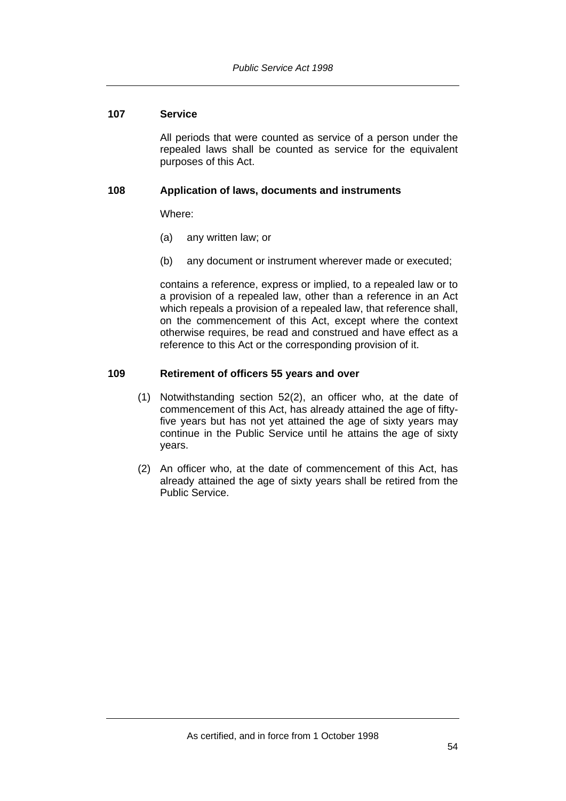# **107 Service**

All periods that were counted as service of a person under the repealed laws shall be counted as service for the equivalent purposes of this Act.

## **108 Application of laws, documents and instruments**

Where:

- (a) any written law; or
- (b) any document or instrument wherever made or executed;

contains a reference, express or implied, to a repealed law or to a provision of a repealed law, other than a reference in an Act which repeals a provision of a repealed law, that reference shall, on the commencement of this Act, except where the context otherwise requires, be read and construed and have effect as a reference to this Act or the corresponding provision of it.

## **109 Retirement of officers 55 years and over**

- (1) Notwithstanding section 52(2), an officer who, at the date of commencement of this Act, has already attained the age of fiftyfive years but has not yet attained the age of sixty years may continue in the Public Service until he attains the age of sixty years.
- (2) An officer who, at the date of commencement of this Act, has already attained the age of sixty years shall be retired from the Public Service.